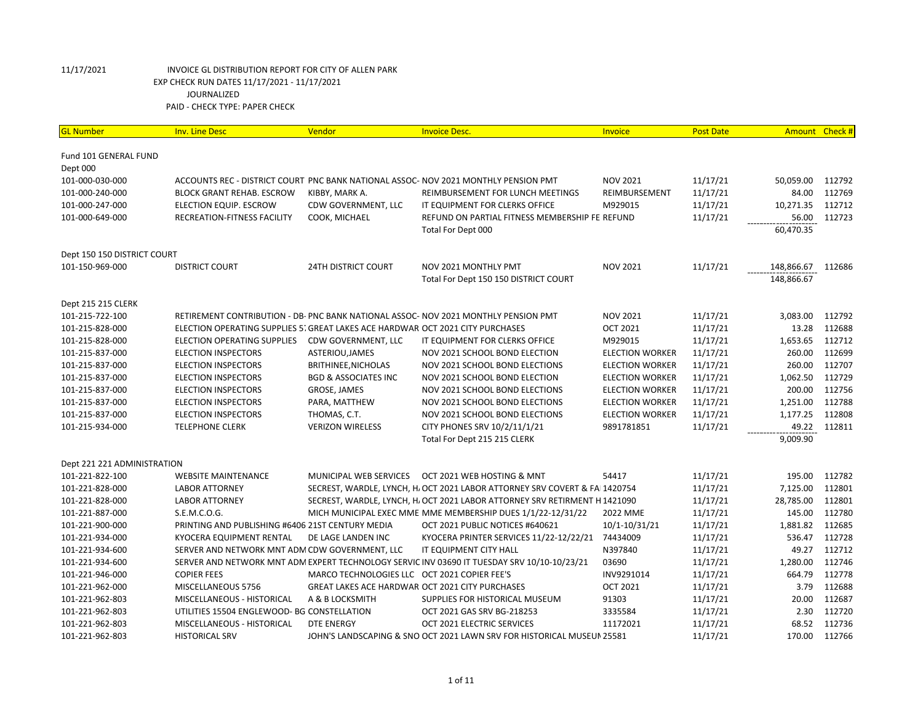| <b>GL Number</b>            | <b>Inv. Line Desc</b>                                                          | Vendor                                          | <b>Invoice Desc.</b>                                                                        | <b>Invoice</b>         | <b>Post Date</b> |            | Amount Check # |
|-----------------------------|--------------------------------------------------------------------------------|-------------------------------------------------|---------------------------------------------------------------------------------------------|------------------------|------------------|------------|----------------|
| Fund 101 GENERAL FUND       |                                                                                |                                                 |                                                                                             |                        |                  |            |                |
| Dept 000                    |                                                                                |                                                 |                                                                                             |                        |                  |            |                |
| 101-000-030-000             |                                                                                |                                                 | ACCOUNTS REC - DISTRICT COURT PNC BANK NATIONAL ASSOC- NOV 2021 MONTHLY PENSION PMT         | <b>NOV 2021</b>        | 11/17/21         | 50,059.00  | 112792         |
| 101-000-240-000             | <b>BLOCK GRANT REHAB. ESCROW</b>                                               | KIBBY, MARK A.                                  | REIMBURSEMENT FOR LUNCH MEETINGS                                                            | REIMBURSEMENT          | 11/17/21         | 84.00      | 112769         |
| 101-000-247-000             | ELECTION EQUIP. ESCROW                                                         | CDW GOVERNMENT, LLC                             | IT EQUIPMENT FOR CLERKS OFFICE                                                              | M929015                | 11/17/21         | 10,271.35  | 112712         |
| 101-000-649-000             | RECREATION-FITNESS FACILITY                                                    | COOK, MICHAEL                                   | REFUND ON PARTIAL FITNESS MEMBERSHIP FE REFUND                                              |                        | 11/17/21         | 56.00      | 112723         |
|                             |                                                                                |                                                 | Total For Dept 000                                                                          |                        |                  | 60,470.35  |                |
| Dept 150 150 DISTRICT COURT |                                                                                |                                                 |                                                                                             |                        |                  |            |                |
| 101-150-969-000             | <b>DISTRICT COURT</b>                                                          | <b>24TH DISTRICT COURT</b>                      | NOV 2021 MONTHLY PMT                                                                        | <b>NOV 2021</b>        | 11/17/21         | 148,866.67 | 112686         |
|                             |                                                                                |                                                 | Total For Dept 150 150 DISTRICT COURT                                                       |                        |                  | 148,866.67 |                |
| Dept 215 215 CLERK          |                                                                                |                                                 |                                                                                             |                        |                  |            |                |
| 101-215-722-100             |                                                                                |                                                 | RETIREMENT CONTRIBUTION - DB- PNC BANK NATIONAL ASSOC- NOV 2021 MONTHLY PENSION PMT         | <b>NOV 2021</b>        | 11/17/21         | 3,083.00   | 112792         |
| 101-215-828-000             | ELECTION OPERATING SUPPLIES 5. GREAT LAKES ACE HARDWAR OCT 2021 CITY PURCHASES |                                                 |                                                                                             | <b>OCT 2021</b>        | 11/17/21         | 13.28      | 112688         |
| 101-215-828-000             | ELECTION OPERATING SUPPLIES                                                    | CDW GOVERNMENT, LLC                             | IT EQUIPMENT FOR CLERKS OFFICE                                                              | M929015                | 11/17/21         | 1,653.65   | 112712         |
| 101-215-837-000             | <b>ELECTION INSPECTORS</b>                                                     | ASTERIOU, JAMES                                 | NOV 2021 SCHOOL BOND ELECTION                                                               | <b>ELECTION WORKER</b> | 11/17/21         | 260.00     | 112699         |
| 101-215-837-000             | <b>ELECTION INSPECTORS</b>                                                     | BRITHINEE, NICHOLAS                             | NOV 2021 SCHOOL BOND ELECTIONS                                                              | <b>ELECTION WORKER</b> | 11/17/21         | 260.00     | 112707         |
| 101-215-837-000             | <b>ELECTION INSPECTORS</b>                                                     | <b>BGD &amp; ASSOCIATES INC</b>                 | NOV 2021 SCHOOL BOND ELECTION                                                               | <b>ELECTION WORKER</b> | 11/17/21         | 1,062.50   | 112729         |
| 101-215-837-000             | <b>ELECTION INSPECTORS</b>                                                     | <b>GROSE, JAMES</b>                             | NOV 2021 SCHOOL BOND ELECTIONS                                                              | <b>ELECTION WORKER</b> | 11/17/21         | 200.00     | 112756         |
| 101-215-837-000             | <b>ELECTION INSPECTORS</b>                                                     | PARA, MATTHEW                                   | NOV 2021 SCHOOL BOND ELECTIONS                                                              | <b>ELECTION WORKER</b> | 11/17/21         | 1,251.00   | 112788         |
| 101-215-837-000             | <b>ELECTION INSPECTORS</b>                                                     | THOMAS, C.T.                                    | NOV 2021 SCHOOL BOND ELECTIONS                                                              | <b>ELECTION WORKER</b> | 11/17/21         | 1,177.25   | 112808         |
| 101-215-934-000             | <b>TELEPHONE CLERK</b>                                                         | <b>VERIZON WIRELESS</b>                         | CITY PHONES SRV 10/2/11/1/21                                                                | 9891781851             | 11/17/21         | 49.22      | 112811         |
|                             |                                                                                |                                                 | Total For Dept 215 215 CLERK                                                                |                        |                  | 9,009.90   |                |
| Dept 221 221 ADMINISTRATION |                                                                                |                                                 |                                                                                             |                        |                  |            |                |
| 101-221-822-100             | <b>WEBSITE MAINTENANCE</b>                                                     | MUNICIPAL WEB SERVICES                          | OCT 2021 WEB HOSTING & MNT                                                                  | 54417                  | 11/17/21         | 195.00     | 112782         |
| 101-221-828-000             | <b>LABOR ATTORNEY</b>                                                          |                                                 | SECREST, WARDLE, LYNCH, H. OCT 2021 LABOR ATTORNEY SRV COVERT & FAI 1420754                 |                        | 11/17/21         | 7,125.00   | 112801         |
| 101-221-828-000             | <b>LABOR ATTORNEY</b>                                                          |                                                 | SECREST, WARDLE, LYNCH, H. OCT 2021 LABOR ATTORNEY SRV RETIRMENT H 1421090                  |                        | 11/17/21         | 28,785.00  | 112801         |
| 101-221-887-000             | S.E.M.C.O.G.                                                                   |                                                 | MICH MUNICIPAL EXEC MME MME MEMBERSHIP DUES 1/1/22-12/31/22                                 | 2022 MME               | 11/17/21         | 145.00     | 112780         |
| 101-221-900-000             | PRINTING AND PUBLISHING #6406 21ST CENTURY MEDIA                               |                                                 | OCT 2021 PUBLIC NOTICES #640621                                                             | 10/1-10/31/21          | 11/17/21         | 1,881.82   | 112685         |
| 101-221-934-000             | KYOCERA EQUIPMENT RENTAL                                                       | DE LAGE LANDEN INC                              | KYOCERA PRINTER SERVICES 11/22-12/22/21                                                     | 74434009               | 11/17/21         | 536.47     | 112728         |
| 101-221-934-600             | SERVER AND NETWORK MNT ADM CDW GOVERNMENT, LLC                                 |                                                 | IT EQUIPMENT CITY HALL                                                                      | N397840                | 11/17/21         | 49.27      | 112712         |
| 101-221-934-600             |                                                                                |                                                 | SERVER AND NETWORK MNT ADM EXPERT TECHNOLOGY SERVIC INV 03690 IT TUESDAY SRV 10/10-10/23/21 | 03690                  | 11/17/21         | 1,280.00   | 112746         |
| 101-221-946-000             | <b>COPIER FEES</b>                                                             | MARCO TECHNOLOGIES LLC OCT 2021 COPIER FEE'S    |                                                                                             | INV9291014             | 11/17/21         | 664.79     | 112778         |
| 101-221-962-000             | MISCELLANEOUS 5756                                                             | GREAT LAKES ACE HARDWAR OCT 2021 CITY PURCHASES |                                                                                             | <b>OCT 2021</b>        | 11/17/21         | 3.79       | 112688         |
| 101-221-962-803             | MISCELLANEOUS - HISTORICAL                                                     | A & B LOCKSMITH                                 | SUPPLIES FOR HISTORICAL MUSEUM                                                              | 91303                  | 11/17/21         | 20.00      | 112687         |
| 101-221-962-803             | UTILITIES 15504 ENGLEWOOD- BG CONSTELLATION                                    |                                                 | OCT 2021 GAS SRV BG-218253                                                                  | 3335584                | 11/17/21         | 2.30       | 112720         |
| 101-221-962-803             | MISCELLANEOUS - HISTORICAL                                                     | <b>DTE ENERGY</b>                               | OCT 2021 ELECTRIC SERVICES                                                                  | 11172021               | 11/17/21         | 68.52      | 112736         |
| 101-221-962-803             | <b>HISTORICAL SRV</b>                                                          |                                                 | JOHN'S LANDSCAPING & SNO OCT 2021 LAWN SRV FOR HISTORICAL MUSEUN 25581                      |                        | 11/17/21         | 170.00     | 112766         |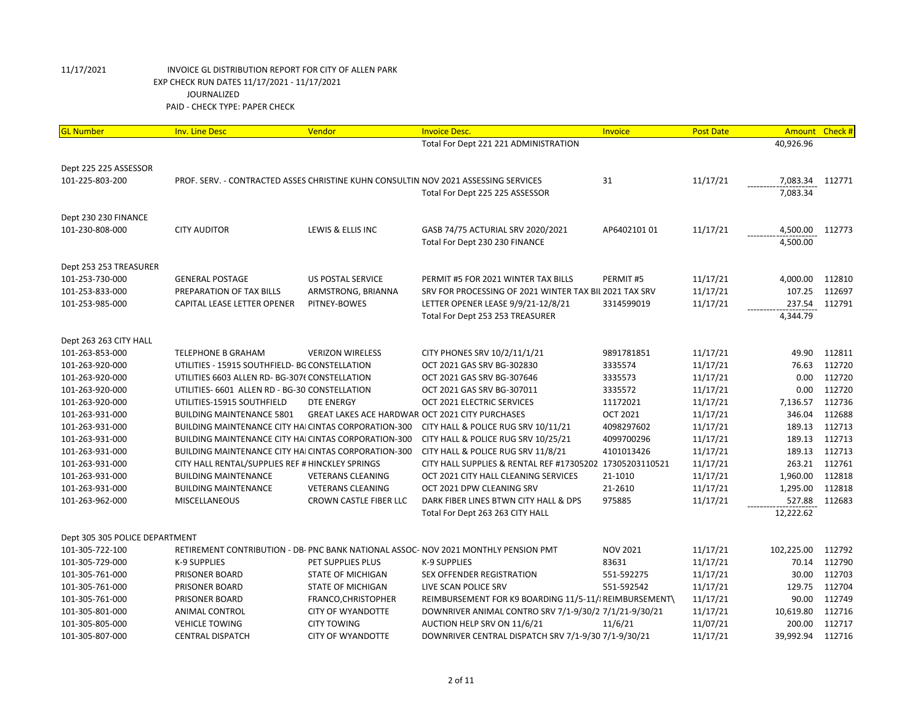| <b>GL Number</b>                                  | <b>Inv. Line Desc</b>                                                               | Vendor                   | <b>Invoice Desc.</b>                                                                | Invoice         | <b>Post Date</b> | <b>Amount</b> | Check # |
|---------------------------------------------------|-------------------------------------------------------------------------------------|--------------------------|-------------------------------------------------------------------------------------|-----------------|------------------|---------------|---------|
|                                                   |                                                                                     |                          | Total For Dept 221 221 ADMINISTRATION                                               |                 |                  | 40,926.96     |         |
|                                                   |                                                                                     |                          |                                                                                     |                 |                  |               |         |
| Dept 225 225 ASSESSOR                             |                                                                                     |                          |                                                                                     |                 |                  |               |         |
| 101-225-803-200                                   | PROF. SERV. - CONTRACTED ASSES CHRISTINE KUHN CONSULTIN NOV 2021 ASSESSING SERVICES |                          |                                                                                     | 31              | 11/17/21         | 7,083.34      | 112771  |
|                                                   |                                                                                     |                          | Total For Dept 225 225 ASSESSOR                                                     |                 |                  | 7,083.34      |         |
|                                                   |                                                                                     |                          |                                                                                     |                 |                  |               |         |
| Dept 230 230 FINANCE                              |                                                                                     |                          |                                                                                     |                 |                  |               |         |
| 101-230-808-000                                   | <b>CITY AUDITOR</b>                                                                 | LEWIS & ELLIS INC        | GASB 74/75 ACTURIAL SRV 2020/2021                                                   | AP6402101 01    | 11/17/21         | 4,500.00      | 112773  |
|                                                   |                                                                                     |                          | Total For Dept 230 230 FINANCE                                                      |                 |                  | 4,500.00      |         |
| Dept 253 253 TREASURER                            |                                                                                     |                          |                                                                                     |                 |                  |               |         |
| 101-253-730-000                                   | <b>GENERAL POSTAGE</b>                                                              | <b>US POSTAL SERVICE</b> | PERMIT #5 FOR 2021 WINTER TAX BILLS                                                 | PERMIT#5        | 11/17/21         | 4,000.00      | 112810  |
| 101-253-833-000                                   | PREPARATION OF TAX BILLS                                                            | ARMSTRONG, BRIANNA       | SRV FOR PROCESSING OF 2021 WINTER TAX BIL 2021 TAX SRV                              |                 | 11/17/21         | 107.25        | 112697  |
| 101-253-985-000                                   | CAPITAL LEASE LETTER OPENER                                                         | PITNEY-BOWES             | LETTER OPENER LEASE 9/9/21-12/8/21                                                  | 3314599019      | 11/17/21         | 237.54        | 112791  |
|                                                   |                                                                                     |                          | Total For Dept 253 253 TREASURER                                                    |                 |                  | 4,344.79      |         |
|                                                   |                                                                                     |                          |                                                                                     |                 |                  |               |         |
| Dept 263 263 CITY HALL                            |                                                                                     |                          |                                                                                     |                 |                  |               |         |
| 101-263-853-000                                   | <b>TELEPHONE B GRAHAM</b>                                                           | <b>VERIZON WIRELESS</b>  | CITY PHONES SRV 10/2/11/1/21                                                        | 9891781851      | 11/17/21         | 49.90         | 112811  |
| 101-263-920-000                                   | UTILITIES - 15915 SOUTHFIELD- BG CONSTELLATION                                      |                          | OCT 2021 GAS SRV BG-302830                                                          | 3335574         | 11/17/21         | 76.63         | 112720  |
| 101-263-920-000                                   | UTILITIES 6603 ALLEN RD- BG-3076 CONSTELLATION                                      |                          | OCT 2021 GAS SRV BG-307646                                                          | 3335573         | 11/17/21         | 0.00          | 112720  |
| 101-263-920-000                                   | UTILITIES- 6601 ALLEN RD - BG-30 CONSTELLATION                                      |                          | OCT 2021 GAS SRV BG-307011                                                          | 3335572         | 11/17/21         | 0.00          | 112720  |
| 101-263-920-000                                   | UTILITIES-15915 SOUTHFIELD                                                          | DTE ENERGY               | OCT 2021 ELECTRIC SERVICES                                                          | 11172021        | 11/17/21         | 7,136.57      | 112736  |
| 101-263-931-000                                   | <b>BUILDING MAINTENANCE 5801</b>                                                    |                          | <b>GREAT LAKES ACE HARDWAR OCT 2021 CITY PURCHASES</b>                              | <b>OCT 2021</b> | 11/17/21         | 346.04        | 112688  |
| 101-263-931-000                                   | <b>BUILDING MAINTENANCE CITY HAICINTAS CORPORATION-300</b>                          |                          | CITY HALL & POLICE RUG SRV 10/11/21                                                 | 4098297602      | 11/17/21         | 189.13        | 112713  |
| 101-263-931-000                                   | BUILDING MAINTENANCE CITY HAI CINTAS CORPORATION-300                                |                          | CITY HALL & POLICE RUG SRV 10/25/21                                                 | 4099700296      | 11/17/21         | 189.13        | 112713  |
| 101-263-931-000                                   | BUILDING MAINTENANCE CITY HAI CINTAS CORPORATION-300                                |                          | CITY HALL & POLICE RUG SRV 11/8/21                                                  | 4101013426      | 11/17/21         | 189.13        | 112713  |
| 101-263-931-000                                   | CITY HALL RENTAL/SUPPLIES REF # HINCKLEY SPRINGS                                    |                          | CITY HALL SUPPLIES & RENTAL REF #17305202 17305203110521                            |                 | 11/17/21         | 263.21        | 112761  |
| 101-263-931-000                                   | <b>BUILDING MAINTENANCE</b>                                                         | <b>VETERANS CLEANING</b> | OCT 2021 CITY HALL CLEANING SERVICES                                                | 21-1010         | 11/17/21         | 1,960.00      | 112818  |
| 101-263-931-000                                   | <b>BUILDING MAINTENANCE</b>                                                         | <b>VETERANS CLEANING</b> | OCT 2021 DPW CLEANING SRV                                                           | 21-2610         | 11/17/21         | 1,295.00      | 112818  |
| 101-263-962-000                                   | MISCELLANEOUS                                                                       | CROWN CASTLE FIBER LLC   | DARK FIBER LINES BTWN CITY HALL & DPS                                               | 975885          | 11/17/21         | 527.88        | 112683  |
|                                                   |                                                                                     |                          | Total For Dept 263 263 CITY HALL                                                    |                 |                  | 12,222.62     |         |
|                                                   |                                                                                     |                          |                                                                                     |                 |                  |               |         |
| Dept 305 305 POLICE DEPARTMENT<br>101-305-722-100 |                                                                                     |                          | RETIREMENT CONTRIBUTION - DB- PNC BANK NATIONAL ASSOC- NOV 2021 MONTHLY PENSION PMT | <b>NOV 2021</b> | 11/17/21         | 102,225.00    | 112792  |
| 101-305-729-000                                   | K-9 SUPPLIES                                                                        | PET SUPPLIES PLUS        | K-9 SUPPLIES                                                                        | 83631           | 11/17/21         | 70.14         | 112790  |
| 101-305-761-000                                   | PRISONER BOARD                                                                      | STATE OF MICHIGAN        | SEX OFFENDER REGISTRATION                                                           | 551-592275      | 11/17/21         | 30.00         | 112703  |
| 101-305-761-000                                   | PRISONER BOARD                                                                      | STATE OF MICHIGAN        | LIVE SCAN POLICE SRV                                                                | 551-592542      | 11/17/21         | 129.75        | 112704  |
| 101-305-761-000                                   | PRISONER BOARD                                                                      | FRANCO, CHRISTOPHER      | REIMBURSEMENT FOR K9 BOARDING 11/5-11/ REIMBURSEMENT\                               |                 | 11/17/21         | 90.00         | 112749  |
| 101-305-801-000                                   | ANIMAL CONTROL                                                                      | <b>CITY OF WYANDOTTE</b> | DOWNRIVER ANIMAL CONTRO SRV 7/1-9/30/2 7/1/21-9/30/21                               |                 | 11/17/21         | 10,619.80     | 112716  |
|                                                   |                                                                                     | <b>CITY TOWING</b>       | AUCTION HELP SRV ON 11/6/21                                                         | 11/6/21         | 11/07/21         | 200.00        | 112717  |
|                                                   |                                                                                     |                          |                                                                                     |                 |                  |               |         |
| 101-305-805-000<br>101-305-807-000                | <b>VEHICLE TOWING</b><br><b>CENTRAL DISPATCH</b>                                    | <b>CITY OF WYANDOTTE</b> | DOWNRIVER CENTRAL DISPATCH SRV 7/1-9/30 7/1-9/30/21                                 |                 | 11/17/21         | 39,992.94     | 112716  |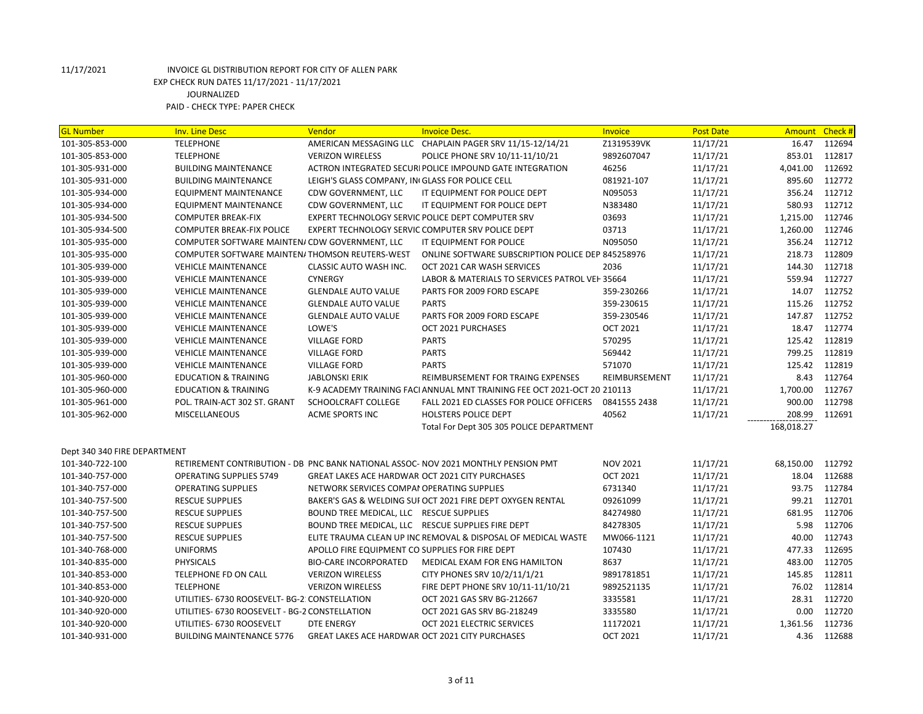| <b>GL Number</b>             | <b>Inv. Line Desc</b>                          | Vendor                                          | <b>Invoice Desc.</b>                                                              | Invoice         | <b>Post Date</b> | <b>Amount</b> | Check # |
|------------------------------|------------------------------------------------|-------------------------------------------------|-----------------------------------------------------------------------------------|-----------------|------------------|---------------|---------|
| 101-305-853-000              | <b>TELEPHONE</b>                               |                                                 | AMERICAN MESSAGING LLC CHAPLAIN PAGER SRV 11/15-12/14/21                          | Z1319539VK      | 11/17/21         | 16.47         | 112694  |
| 101-305-853-000              | <b>TELEPHONE</b>                               | <b>VERIZON WIRELESS</b>                         | POLICE PHONE SRV 10/11-11/10/21                                                   | 9892607047      | 11/17/21         | 853.01        | 112817  |
| 101-305-931-000              | <b>BUILDING MAINTENANCE</b>                    |                                                 | ACTRON INTEGRATED SECURI POLICE IMPOUND GATE INTEGRATION                          | 46256           | 11/17/21         | 4,041.00      | 112692  |
| 101-305-931-000              | <b>BUILDING MAINTENANCE</b>                    | LEIGH'S GLASS COMPANY, IN GLASS FOR POLICE CELL |                                                                                   | 081921-107      | 11/17/21         | 895.60        | 112772  |
| 101-305-934-000              | EQUIPMENT MAINTENANCE                          | CDW GOVERNMENT, LLC                             | IT EQUIPMENT FOR POLICE DEPT                                                      | N095053         | 11/17/21         | 356.24        | 112712  |
| 101-305-934-000              | <b>EQUIPMENT MAINTENANCE</b>                   | CDW GOVERNMENT, LLC                             | IT EQUIPMENT FOR POLICE DEPT                                                      | N383480         | 11/17/21         | 580.93        | 112712  |
| 101-305-934-500              | <b>COMPUTER BREAK-FIX</b>                      |                                                 | EXPERT TECHNOLOGY SERVIC POLICE DEPT COMPUTER SRV                                 | 03693           | 11/17/21         | 1,215.00      | 112746  |
| 101-305-934-500              | <b>COMPUTER BREAK-FIX POLICE</b>               |                                                 | EXPERT TECHNOLOGY SERVIC COMPUTER SRV POLICE DEPT                                 | 03713           | 11/17/21         | 1,260.00      | 112746  |
| 101-305-935-000              | COMPUTER SOFTWARE MAINTEN/ CDW GOVERNMENT, LLC |                                                 | IT EQUIPMENT FOR POLICE                                                           | N095050         | 11/17/21         | 356.24        | 112712  |
| 101-305-935-000              | COMPUTER SOFTWARE MAINTEN/THOMSON REUTERS-WEST |                                                 | ONLINE SOFTWARE SUBSCRIPTION POLICE DEP 845258976                                 |                 | 11/17/21         | 218.73        | 112809  |
| 101-305-939-000              | <b>VEHICLE MAINTENANCE</b>                     | CLASSIC AUTO WASH INC.                          | OCT 2021 CAR WASH SERVICES                                                        | 2036            | 11/17/21         | 144.30        | 112718  |
| 101-305-939-000              | <b>VEHICLE MAINTENANCE</b>                     | <b>CYNERGY</b>                                  | LABOR & MATERIALS TO SERVICES PATROL VEH 35664                                    |                 | 11/17/21         | 559.94        | 112727  |
| 101-305-939-000              | <b>VEHICLE MAINTENANCE</b>                     | <b>GLENDALE AUTO VALUE</b>                      | PARTS FOR 2009 FORD ESCAPE                                                        | 359-230266      | 11/17/21         | 14.07         | 112752  |
| 101-305-939-000              | <b>VEHICLE MAINTENANCE</b>                     | <b>GLENDALE AUTO VALUE</b>                      | <b>PARTS</b>                                                                      | 359-230615      | 11/17/21         | 115.26        | 112752  |
| 101-305-939-000              | <b>VEHICLE MAINTENANCE</b>                     | <b>GLENDALE AUTO VALUE</b>                      | PARTS FOR 2009 FORD ESCAPE                                                        | 359-230546      | 11/17/21         | 147.87        | 112752  |
| 101-305-939-000              | <b>VEHICLE MAINTENANCE</b>                     | LOWE'S                                          | OCT 2021 PURCHASES                                                                | <b>OCT 2021</b> | 11/17/21         | 18.47         | 112774  |
| 101-305-939-000              | <b>VEHICLE MAINTENANCE</b>                     | <b>VILLAGE FORD</b>                             | <b>PARTS</b>                                                                      | 570295          | 11/17/21         | 125.42        | 112819  |
| 101-305-939-000              | <b>VEHICLE MAINTENANCE</b>                     | <b>VILLAGE FORD</b>                             | <b>PARTS</b>                                                                      | 569442          | 11/17/21         | 799.25        | 112819  |
| 101-305-939-000              | <b>VEHICLE MAINTENANCE</b>                     | <b>VILLAGE FORD</b>                             | <b>PARTS</b>                                                                      | 571070          | 11/17/21         | 125.42        | 112819  |
| 101-305-960-000              | <b>EDUCATION &amp; TRAINING</b>                | <b>JABLONSKI ERIK</b>                           | REIMBURSEMENT FOR TRAING EXPENSES                                                 | REIMBURSEMENT   | 11/17/21         | 8.43          | 112764  |
| 101-305-960-000              | <b>EDUCATION &amp; TRAINING</b>                |                                                 | K-9 ACADEMY TRAINING FACI ANNUAL MNT TRAINING FEE OCT 2021-OCT 20 210113          |                 | 11/17/21         | 1,700.00      | 112767  |
| 101-305-961-000              | POL. TRAIN-ACT 302 ST. GRANT                   | SCHOOLCRAFT COLLEGE                             | FALL 2021 ED CLASSES FOR POLICE OFFICERS                                          | 0841555 2438    | 11/17/21         | 900.00        | 112798  |
| 101-305-962-000              | <b>MISCELLANEOUS</b>                           | <b>ACME SPORTS INC</b>                          | <b>HOLSTERS POLICE DEPT</b>                                                       | 40562           | 11/17/21         | 208.99        | 112691  |
|                              |                                                |                                                 | Total For Dept 305 305 POLICE DEPARTMENT                                          |                 |                  | 168,018.27    |         |
|                              |                                                |                                                 |                                                                                   |                 |                  |               |         |
| Dept 340 340 FIRE DEPARTMENT |                                                |                                                 |                                                                                   |                 |                  |               |         |
| 101-340-722-100              |                                                |                                                 | RETIREMENT CONTRIBUTION - DB PNC BANK NATIONAL ASSOC-NOV 2021 MONTHLY PENSION PMT | <b>NOV 2021</b> | 11/17/21         | 68,150.00     | 112792  |
| 101-340-757-000              | <b>OPERATING SUPPLIES 5749</b>                 | GREAT LAKES ACE HARDWAR OCT 2021 CITY PURCHASES |                                                                                   | <b>OCT 2021</b> | 11/17/21         | 18.04         | 112688  |
| 101-340-757-000              | <b>OPERATING SUPPLIES</b>                      | NETWORK SERVICES COMPAI OPERATING SUPPLIES      |                                                                                   | 6731340         | 11/17/21         | 93.75         | 112784  |
| 101-340-757-500              | <b>RESCUE SUPPLIES</b>                         |                                                 | BAKER'S GAS & WELDING SUI OCT 2021 FIRE DEPT OXYGEN RENTAL                        | 09261099        | 11/17/21         | 99.21         | 112701  |
| 101-340-757-500              | <b>RESCUE SUPPLIES</b>                         | BOUND TREE MEDICAL, LLC RESCUE SUPPLIES         |                                                                                   | 84274980        | 11/17/21         | 681.95        | 112706  |
| 101-340-757-500              | <b>RESCUE SUPPLIES</b>                         |                                                 | BOUND TREE MEDICAL, LLC RESCUE SUPPLIES FIRE DEPT                                 | 84278305        | 11/17/21         | 5.98          | 112706  |
| 101-340-757-500              | <b>RESCUE SUPPLIES</b>                         |                                                 | ELITE TRAUMA CLEAN UP INC REMOVAL & DISPOSAL OF MEDICAL WASTE                     | MW066-1121      | 11/17/21         | 40.00         | 112743  |
| 101-340-768-000              | <b>UNIFORMS</b>                                | APOLLO FIRE EQUIPMENT CO SUPPLIES FOR FIRE DEPT |                                                                                   | 107430          | 11/17/21         | 477.33        | 112695  |
| 101-340-835-000              | <b>PHYSICALS</b>                               | <b>BIO-CARE INCORPORATED</b>                    | MEDICAL EXAM FOR ENG HAMILTON                                                     | 8637            | 11/17/21         | 483.00        | 112705  |
| 101-340-853-000              | TELEPHONE FD ON CALL                           | <b>VERIZON WIRELESS</b>                         | CITY PHONES SRV 10/2/11/1/21                                                      | 9891781851      | 11/17/21         | 145.85        | 112811  |
| 101-340-853-000              | <b>TELEPHONE</b>                               | <b>VERIZON WIRELESS</b>                         | FIRE DEPT PHONE SRV 10/11-11/10/21                                                | 9892521135      | 11/17/21         | 76.02         | 112814  |
| 101-340-920-000              | UTILITIES- 6730 ROOSEVELT- BG-2: CONSTELLATION |                                                 | OCT 2021 GAS SRV BG-212667                                                        | 3335581         | 11/17/21         | 28.31         | 112720  |
| 101-340-920-000              | UTILITIES- 6730 ROOSEVELT - BG-2 CONSTELLATION |                                                 | OCT 2021 GAS SRV BG-218249                                                        | 3335580         | 11/17/21         | 0.00          | 112720  |
| 101-340-920-000              | UTILITIES- 6730 ROOSEVELT                      | <b>DTE ENERGY</b>                               | OCT 2021 ELECTRIC SERVICES                                                        | 11172021        | 11/17/21         | 1,361.56      | 112736  |
| 101-340-931-000              | <b>BUILDING MAINTENANCE 5776</b>               | GREAT LAKES ACE HARDWAR OCT 2021 CITY PURCHASES |                                                                                   | <b>OCT 2021</b> | 11/17/21         | 4.36          | 112688  |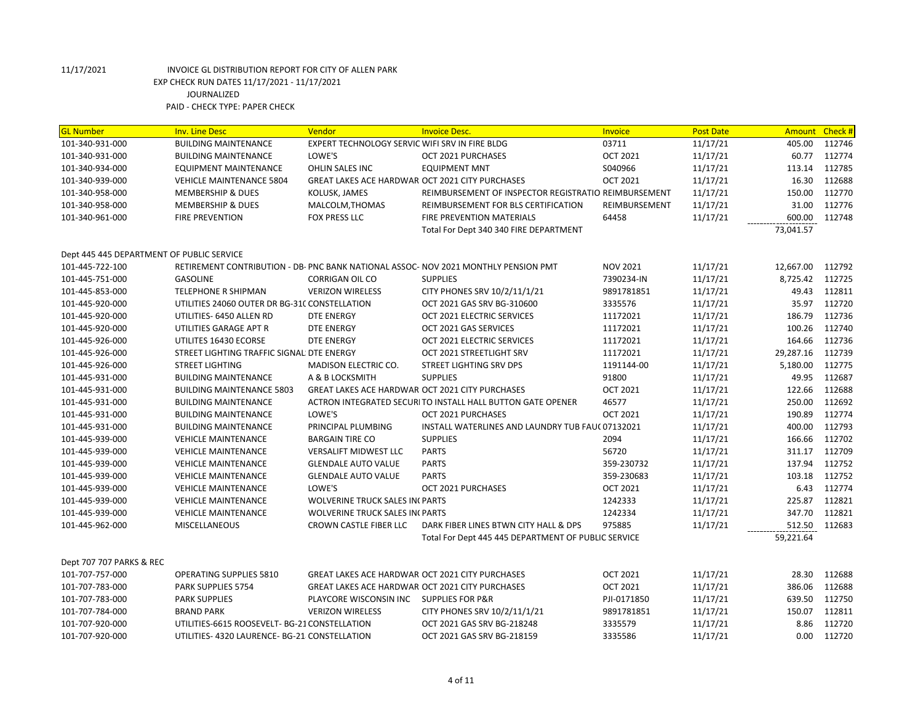| <b>GL Number</b>                          | <b>Inv. Line Desc</b>                         | Vendor                                                 | <b>Invoice Desc.</b>                                                                | Invoice         | <b>Post Date</b> | <b>Amount</b> | Check# |
|-------------------------------------------|-----------------------------------------------|--------------------------------------------------------|-------------------------------------------------------------------------------------|-----------------|------------------|---------------|--------|
| 101-340-931-000                           | <b>BUILDING MAINTENANCE</b>                   | EXPERT TECHNOLOGY SERVIC WIFI SRV IN FIRE BLDG         |                                                                                     | 03711           | 11/17/21         | 405.00        | 112746 |
| 101-340-931-000                           | <b>BUILDING MAINTENANCE</b>                   | LOWE'S                                                 | OCT 2021 PURCHASES                                                                  | <b>OCT 2021</b> | 11/17/21         | 60.77         | 112774 |
| 101-340-934-000                           | <b>EQUIPMENT MAINTENANCE</b>                  | OHLIN SALES INC                                        | <b>EQUIPMENT MNT</b>                                                                | S040966         | 11/17/21         | 113.14        | 112785 |
| 101-340-939-000                           | <b>VEHICLE MAINTENANCE 5804</b>               | GREAT LAKES ACE HARDWAR OCT 2021 CITY PURCHASES        |                                                                                     | <b>OCT 2021</b> | 11/17/21         | 16.30         | 112688 |
| 101-340-958-000                           | <b>MEMBERSHIP &amp; DUES</b>                  | KOLUSK, JAMES                                          | REIMBURSEMENT OF INSPECTOR REGISTRATIO REIMBURSEMENT                                |                 | 11/17/21         | 150.00        | 112770 |
| 101-340-958-000                           | <b>MEMBERSHIP &amp; DUES</b>                  | MALCOLM, THOMAS                                        | REIMBURSEMENT FOR BLS CERTIFICATION                                                 | REIMBURSEMENT   | 11/17/21         | 31.00         | 112776 |
| 101-340-961-000                           | <b>FIRE PREVENTION</b>                        | <b>FOX PRESS LLC</b>                                   | FIRE PREVENTION MATERIALS                                                           | 64458           | 11/17/21         | 600.00        | 112748 |
|                                           |                                               |                                                        | Total For Dept 340 340 FIRE DEPARTMENT                                              |                 |                  | 73,041.57     |        |
| Dept 445 445 DEPARTMENT OF PUBLIC SERVICE |                                               |                                                        |                                                                                     |                 |                  |               |        |
|                                           |                                               |                                                        |                                                                                     |                 |                  |               |        |
| 101-445-722-100                           |                                               |                                                        | RETIREMENT CONTRIBUTION - DB- PNC BANK NATIONAL ASSOC- NOV 2021 MONTHLY PENSION PMT | <b>NOV 2021</b> | 11/17/21         | 12,667.00     | 112792 |
| 101-445-751-000                           | <b>GASOLINE</b>                               | <b>CORRIGAN OIL CO</b>                                 | <b>SUPPLIES</b>                                                                     | 7390234-IN      | 11/17/21         | 8,725.42      | 112725 |
| 101-445-853-000                           | <b>TELEPHONE R SHIPMAN</b>                    | <b>VERIZON WIRELESS</b>                                | CITY PHONES SRV 10/2/11/1/21                                                        | 9891781851      | 11/17/21         | 49.43         | 112811 |
| 101-445-920-000                           | UTILITIES 24060 OUTER DR BG-310 CONSTELLATION |                                                        | OCT 2021 GAS SRV BG-310600                                                          | 3335576         | 11/17/21         | 35.97         | 112720 |
| 101-445-920-000                           | UTILITIES- 6450 ALLEN RD                      | DTE ENERGY                                             | OCT 2021 ELECTRIC SERVICES                                                          | 11172021        | 11/17/21         | 186.79        | 112736 |
| 101-445-920-000                           | UTILITIES GARAGE APT R                        | DTE ENERGY                                             | OCT 2021 GAS SERVICES                                                               | 11172021        | 11/17/21         | 100.26        | 112740 |
| 101-445-926-000                           | UTILITES 16430 ECORSE                         | DTE ENERGY                                             | OCT 2021 ELECTRIC SERVICES                                                          | 11172021        | 11/17/21         | 164.66        | 112736 |
| 101-445-926-000                           | STREET LIGHTING TRAFFIC SIGNAL DTE ENERGY     |                                                        | OCT 2021 STREETLIGHT SRV                                                            | 11172021        | 11/17/21         | 29,287.16     | 112739 |
| 101-445-926-000                           | <b>STREET LIGHTING</b>                        | <b>MADISON ELECTRIC CO.</b>                            | STREET LIGHTING SRV DPS                                                             | 1191144-00      | 11/17/21         | 5,180.00      | 112775 |
| 101-445-931-000                           | <b>BUILDING MAINTENANCE</b>                   | A & B LOCKSMITH                                        | <b>SUPPLIES</b>                                                                     | 91800           | 11/17/21         | 49.95         | 112687 |
| 101-445-931-000                           | <b>BUILDING MAINTENANCE 5803</b>              | GREAT LAKES ACE HARDWAR OCT 2021 CITY PURCHASES        |                                                                                     | <b>OCT 2021</b> | 11/17/21         | 122.66        | 112688 |
| 101-445-931-000                           | <b>BUILDING MAINTENANCE</b>                   |                                                        | ACTRON INTEGRATED SECURI TO INSTALL HALL BUTTON GATE OPENER                         | 46577           | 11/17/21         | 250.00        | 112692 |
| 101-445-931-000                           | <b>BUILDING MAINTENANCE</b>                   | LOWE'S                                                 | OCT 2021 PURCHASES                                                                  | <b>OCT 2021</b> | 11/17/21         | 190.89        | 112774 |
| 101-445-931-000                           | <b>BUILDING MAINTENANCE</b>                   | PRINCIPAL PLUMBING                                     | INSTALL WATERLINES AND LAUNDRY TUB FAUC 07132021                                    |                 | 11/17/21         | 400.00        | 112793 |
| 101-445-939-000                           | <b>VEHICLE MAINTENANCE</b>                    | <b>BARGAIN TIRE CO</b>                                 | <b>SUPPLIES</b>                                                                     | 2094            | 11/17/21         | 166.66        | 112702 |
| 101-445-939-000                           | <b>VEHICLE MAINTENANCE</b>                    | <b>VERSALIFT MIDWEST LLC</b>                           | <b>PARTS</b>                                                                        | 56720           | 11/17/21         | 311.17        | 112709 |
| 101-445-939-000                           | <b>VEHICLE MAINTENANCE</b>                    | <b>GLENDALE AUTO VALUE</b>                             | <b>PARTS</b>                                                                        | 359-230732      | 11/17/21         | 137.94        | 112752 |
| 101-445-939-000                           | <b>VEHICLE MAINTENANCE</b>                    | <b>GLENDALE AUTO VALUE</b>                             | <b>PARTS</b>                                                                        | 359-230683      | 11/17/21         | 103.18        | 112752 |
| 101-445-939-000                           | <b>VEHICLE MAINTENANCE</b>                    | LOWE'S                                                 | OCT 2021 PURCHASES                                                                  | <b>OCT 2021</b> | 11/17/21         | 6.43          | 112774 |
| 101-445-939-000                           | <b>VEHICLE MAINTENANCE</b>                    | <b>WOLVERINE TRUCK SALES IN PARTS</b>                  |                                                                                     | 1242333         | 11/17/21         | 225.87        | 112821 |
| 101-445-939-000                           | <b>VEHICLE MAINTENANCE</b>                    | <b>WOLVERINE TRUCK SALES IN PARTS</b>                  |                                                                                     | 1242334         | 11/17/21         | 347.70        | 112821 |
| 101-445-962-000                           | <b>MISCELLANEOUS</b>                          | CROWN CASTLE FIBER LLC                                 | DARK FIBER LINES BTWN CITY HALL & DPS                                               | 975885          | 11/17/21         | 512.50        | 112683 |
|                                           |                                               |                                                        | Total For Dept 445 445 DEPARTMENT OF PUBLIC SERVICE                                 |                 |                  | 59,221.64     |        |
| Dept 707 707 PARKS & REC                  |                                               |                                                        |                                                                                     |                 |                  |               |        |
| 101-707-757-000                           | OPERATING SUPPLIES 5810                       | <b>GREAT LAKES ACE HARDWAR OCT 2021 CITY PURCHASES</b> |                                                                                     | <b>OCT 2021</b> | 11/17/21         | 28.30         | 112688 |
| 101-707-783-000                           | PARK SUPPLIES 5754                            | <b>GREAT LAKES ACE HARDWAR OCT 2021 CITY PURCHASES</b> |                                                                                     | <b>OCT 2021</b> | 11/17/21         | 386.06        | 112688 |
| 101-707-783-000                           | <b>PARK SUPPLIES</b>                          | PLAYCORE WISCONSIN INC SUPPLIES FOR P&R                |                                                                                     | PJI-0171850     | 11/17/21         | 639.50        | 112750 |
| 101-707-784-000                           | <b>BRAND PARK</b>                             | <b>VERIZON WIRELESS</b>                                | CITY PHONES SRV 10/2/11/1/21                                                        | 9891781851      | 11/17/21         | 150.07        | 112811 |
| 101-707-920-000                           | UTILITIES-6615 ROOSEVELT- BG-21 CONSTELLATION |                                                        | OCT 2021 GAS SRV BG-218248                                                          | 3335579         | 11/17/21         | 8.86          | 112720 |
| 101-707-920-000                           | UTILITIES- 4320 LAURENCE- BG-21 CONSTELLATION |                                                        | OCT 2021 GAS SRV BG-218159                                                          | 3335586         | 11/17/21         | 0.00          | 112720 |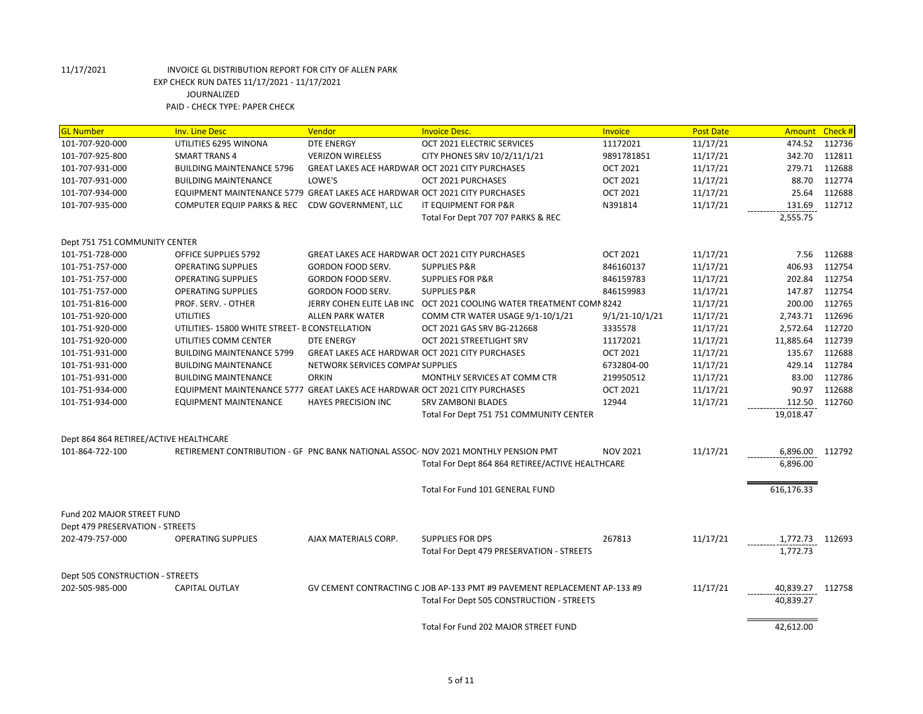| <b>GL Number</b>                       | <b>Inv. Line Desc</b>                                                      | Vendor                                                 | <b>Invoice Desc.</b>                                                               | <b>Invoice</b>     | <b>Post Date</b> | <b>Amount</b>    | Check # |
|----------------------------------------|----------------------------------------------------------------------------|--------------------------------------------------------|------------------------------------------------------------------------------------|--------------------|------------------|------------------|---------|
| 101-707-920-000                        | UTILITIES 6295 WINONA                                                      | <b>DTE ENERGY</b>                                      | OCT 2021 ELECTRIC SERVICES                                                         | 11172021           | 11/17/21         | 474.52           | 112736  |
| 101-707-925-800                        | <b>SMART TRANS 4</b>                                                       | <b>VERIZON WIRELESS</b>                                | CITY PHONES SRV 10/2/11/1/21                                                       | 9891781851         | 11/17/21         | 342.70           | 112811  |
| 101-707-931-000                        | <b>BUILDING MAINTENANCE 5796</b>                                           | <b>GREAT LAKES ACE HARDWAR OCT 2021 CITY PURCHASES</b> |                                                                                    | <b>OCT 2021</b>    | 11/17/21         | 279.71           | 112688  |
| 101-707-931-000                        | <b>BUILDING MAINTENANCE</b>                                                | LOWE'S                                                 | OCT 2021 PURCHASES                                                                 | <b>OCT 2021</b>    | 11/17/21         | 88.70            | 112774  |
| 101-707-934-000                        | EQUIPMENT MAINTENANCE 5779 GREAT LAKES ACE HARDWAR OCT 2021 CITY PURCHASES |                                                        |                                                                                    | <b>OCT 2021</b>    | 11/17/21         | 25.64            | 112688  |
| 101-707-935-000                        | COMPUTER EQUIP PARKS & REC                                                 | CDW GOVERNMENT, LLC                                    | IT EQUIPMENT FOR P&R                                                               | N391814            | 11/17/21         | 131.69           | 112712  |
|                                        |                                                                            |                                                        | Total For Dept 707 707 PARKS & REC                                                 |                    |                  | 2,555.75         |         |
| Dept 751 751 COMMUNITY CENTER          |                                                                            |                                                        |                                                                                    |                    |                  |                  |         |
| 101-751-728-000                        | OFFICE SUPPLIES 5792                                                       | <b>GREAT LAKES ACE HARDWAR OCT 2021 CITY PURCHASES</b> |                                                                                    | <b>OCT 2021</b>    | 11/17/21         | 7.56             | 112688  |
| 101-751-757-000                        | <b>OPERATING SUPPLIES</b>                                                  | <b>GORDON FOOD SERV.</b>                               | <b>SUPPLIES P&amp;R</b>                                                            | 846160137          | 11/17/21         | 406.93           | 112754  |
| 101-751-757-000                        | <b>OPERATING SUPPLIES</b>                                                  | GORDON FOOD SERV.                                      | <b>SUPPLIES FOR P&amp;R</b>                                                        | 846159783          | 11/17/21         | 202.84           | 112754  |
| 101-751-757-000                        | <b>OPERATING SUPPLIES</b>                                                  | GORDON FOOD SERV.                                      | <b>SUPPLIES P&amp;R</b>                                                            | 846159983          | 11/17/21         | 147.87           | 112754  |
| 101-751-816-000                        | PROF. SERV. - OTHER                                                        |                                                        | JERRY COHEN ELITE LAB INC OCT 2021 COOLING WATER TREATMENT COMN 8242               |                    | 11/17/21         | 200.00           | 112765  |
| 101-751-920-000                        | <b>UTILITIES</b>                                                           | <b>ALLEN PARK WATER</b>                                | COMM CTR WATER USAGE 9/1-10/1/21                                                   | $9/1/21 - 10/1/21$ | 11/17/21         | 2,743.71         | 112696  |
| 101-751-920-000                        | UTILITIES-15800 WHITE STREET- B CONSTELLATION                              |                                                        | OCT 2021 GAS SRV BG-212668                                                         | 3335578            | 11/17/21         | 2,572.64         | 112720  |
| 101-751-920-000                        | UTILITIES COMM CENTER                                                      | <b>DTE ENERGY</b>                                      | OCT 2021 STREETLIGHT SRV                                                           | 11172021           | 11/17/21         | 11,885.64        | 112739  |
| 101-751-931-000                        | <b>BUILDING MAINTENANCE 5799</b>                                           | <b>GREAT LAKES ACE HARDWAR OCT 2021 CITY PURCHASES</b> |                                                                                    | <b>OCT 2021</b>    | 11/17/21         | 135.67           | 112688  |
| 101-751-931-000                        | <b>BUILDING MAINTENANCE</b>                                                | NETWORK SERVICES COMPAI SUPPLIES                       |                                                                                    | 6732804-00         | 11/17/21         | 429.14           | 112784  |
| 101-751-931-000                        | <b>BUILDING MAINTENANCE</b>                                                | <b>ORKIN</b>                                           | MONTHLY SERVICES AT COMM CTR                                                       | 219950512          | 11/17/21         | 83.00            | 112786  |
| 101-751-934-000                        | EQUIPMENT MAINTENANCE 5777 GREAT LAKES ACE HARDWAR OCT 2021 CITY PURCHASES |                                                        |                                                                                    | <b>OCT 2021</b>    | 11/17/21         | 90.97            | 112688  |
| 101-751-934-000                        | EQUIPMENT MAINTENANCE                                                      | <b>HAYES PRECISION INC</b>                             | <b>SRV ZAMBONI BLADES</b>                                                          | 12944              | 11/17/21         | 112.50           | 112760  |
|                                        |                                                                            |                                                        | Total For Dept 751 751 COMMUNITY CENTER                                            |                    |                  | 19,018.47        |         |
| Dept 864 864 RETIREE/ACTIVE HEALTHCARE |                                                                            |                                                        |                                                                                    |                    |                  |                  |         |
| 101-864-722-100                        |                                                                            |                                                        | RETIREMENT CONTRIBUTION - GF PNC BANK NATIONAL ASSOC- NOV 2021 MONTHLY PENSION PMT | <b>NOV 2021</b>    | 11/17/21         | 6,896.00         | 112792  |
|                                        |                                                                            |                                                        | Total For Dept 864 864 RETIREE/ACTIVE HEALTHCARE                                   |                    |                  | 6,896.00         |         |
|                                        |                                                                            |                                                        | Total For Fund 101 GENERAL FUND                                                    |                    |                  | 616,176.33       |         |
| <b>Fund 202 MAJOR STREET FUND</b>      |                                                                            |                                                        |                                                                                    |                    |                  |                  |         |
| Dept 479 PRESERVATION - STREETS        |                                                                            |                                                        |                                                                                    |                    |                  |                  |         |
| 202-479-757-000                        | <b>OPERATING SUPPLIES</b>                                                  | AJAX MATERIALS CORP.                                   | <b>SUPPLIES FOR DPS</b>                                                            | 267813             | 11/17/21         | 1,772.73         | 112693  |
|                                        |                                                                            |                                                        | Total For Dept 479 PRESERVATION - STREETS                                          |                    |                  | 1,772.73         |         |
| Dept 505 CONSTRUCTION - STREETS        |                                                                            |                                                        |                                                                                    |                    |                  |                  |         |
| 202-505-985-000                        | <b>CAPITAL OUTLAY</b>                                                      |                                                        | GV CEMENT CONTRACTING C JOB AP-133 PMT #9 PAVEMENT REPLACEMENT AP-133 #9           |                    | 11/17/21         | 40,839.27 112758 |         |
|                                        |                                                                            |                                                        | Total For Dept 505 CONSTRUCTION - STREETS                                          |                    |                  | 40,839.27        |         |
|                                        |                                                                            |                                                        | Total For Fund 202 MAJOR STREET FUND                                               |                    |                  | 42,612.00        |         |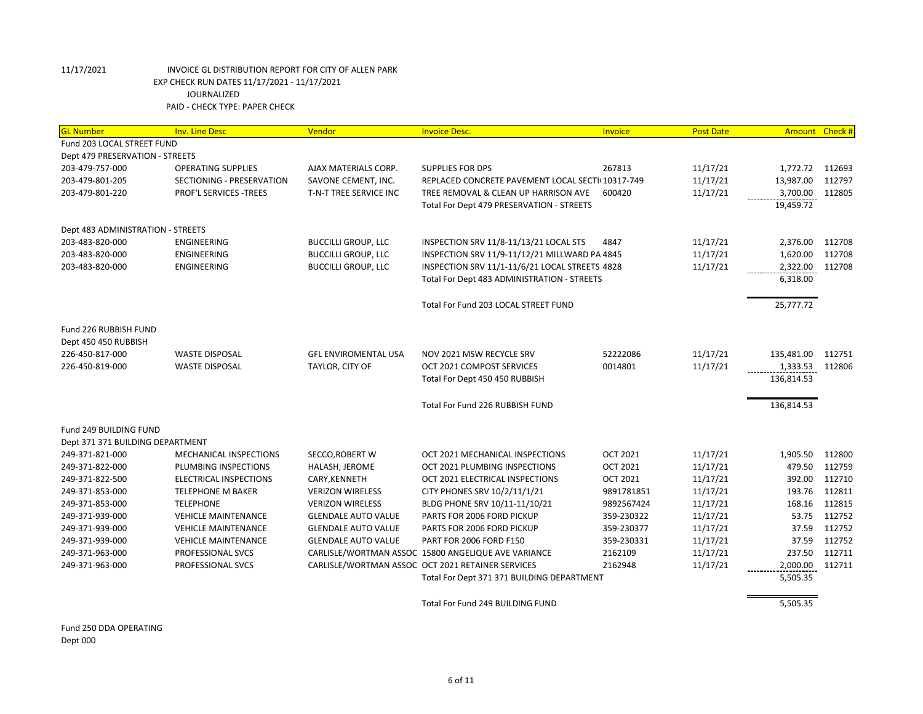| <b>GL Number</b>                  | <b>Inv. Line Desc</b>      | Vendor                      | <b>Invoice Desc.</b>                                | <b>Invoice</b>  | <b>Post Date</b> | Amount Check #  |        |
|-----------------------------------|----------------------------|-----------------------------|-----------------------------------------------------|-----------------|------------------|-----------------|--------|
| Fund 203 LOCAL STREET FUND        |                            |                             |                                                     |                 |                  |                 |        |
| Dept 479 PRESERVATION - STREETS   |                            |                             |                                                     |                 |                  |                 |        |
| 203-479-757-000                   | <b>OPERATING SUPPLIES</b>  | AJAX MATERIALS CORP.        | <b>SUPPLIES FOR DPS</b>                             | 267813          | 11/17/21         | 1,772.72        | 112693 |
| 203-479-801-205                   | SECTIONING - PRESERVATION  | SAVONE CEMENT, INC.         | REPLACED CONCRETE PAVEMENT LOCAL SECTI(10317-749    |                 | 11/17/21         | 13,987.00       | 112797 |
| 203-479-801-220                   | PROF'L SERVICES -TREES     | T-N-T TREE SERVICE INC      | TREE REMOVAL & CLEAN UP HARRISON AVE                | 600420          | 11/17/21         | 3,700.00        | 112805 |
|                                   |                            |                             | Total For Dept 479 PRESERVATION - STREETS           |                 |                  | 19,459.72       |        |
|                                   |                            |                             |                                                     |                 |                  |                 |        |
| Dept 483 ADMINISTRATION - STREETS |                            |                             |                                                     |                 |                  |                 |        |
| 203-483-820-000                   | <b>ENGINEERING</b>         | <b>BUCCILLI GROUP, LLC</b>  | INSPECTION SRV 11/8-11/13/21 LOCAL STS              | 4847            | 11/17/21         | 2,376.00        | 112708 |
| 203-483-820-000                   | ENGINEERING                | <b>BUCCILLI GROUP, LLC</b>  | INSPECTION SRV 11/9-11/12/21 MILLWARD PA 4845       |                 | 11/17/21         | 1,620.00        | 112708 |
| 203-483-820-000                   | ENGINEERING                | <b>BUCCILLI GROUP, LLC</b>  | INSPECTION SRV 11/1-11/6/21 LOCAL STREETS 4828      |                 | 11/17/21         | 2,322.00        | 112708 |
|                                   |                            |                             | Total For Dept 483 ADMINISTRATION - STREETS         |                 |                  | 6,318.00        |        |
|                                   |                            |                             | Total For Fund 203 LOCAL STREET FUND                |                 |                  | 25,777.72       |        |
|                                   |                            |                             |                                                     |                 |                  |                 |        |
| Fund 226 RUBBISH FUND             |                            |                             |                                                     |                 |                  |                 |        |
| Dept 450 450 RUBBISH              |                            |                             |                                                     |                 |                  |                 |        |
| 226-450-817-000                   | <b>WASTE DISPOSAL</b>      | <b>GFL ENVIROMENTAL USA</b> | NOV 2021 MSW RECYCLE SRV                            | 52222086        | 11/17/21         | 135,481.00      | 112751 |
| 226-450-819-000                   | <b>WASTE DISPOSAL</b>      | TAYLOR, CITY OF             | OCT 2021 COMPOST SERVICES                           | 0014801         | 11/17/21         | 1,333.53 112806 |        |
|                                   |                            |                             | Total For Dept 450 450 RUBBISH                      |                 |                  | 136,814.53      |        |
|                                   |                            |                             |                                                     |                 |                  |                 |        |
|                                   |                            |                             | Total For Fund 226 RUBBISH FUND                     |                 |                  | 136,814.53      |        |
| Fund 249 BUILDING FUND            |                            |                             |                                                     |                 |                  |                 |        |
| Dept 371 371 BUILDING DEPARTMENT  |                            |                             |                                                     |                 |                  |                 |        |
| 249-371-821-000                   | MECHANICAL INSPECTIONS     | SECCO, ROBERT W             | OCT 2021 MECHANICAL INSPECTIONS                     | <b>OCT 2021</b> | 11/17/21         | 1,905.50        | 112800 |
| 249-371-822-000                   | PLUMBING INSPECTIONS       | HALASH, JEROME              | OCT 2021 PLUMBING INSPECTIONS                       | <b>OCT 2021</b> | 11/17/21         | 479.50          | 112759 |
| 249-371-822-500                   | ELECTRICAL INSPECTIONS     | CARY, KENNETH               | OCT 2021 ELECTRICAL INSPECTIONS                     | <b>OCT 2021</b> | 11/17/21         | 392.00          | 112710 |
| 249-371-853-000                   | <b>TELEPHONE M BAKER</b>   | <b>VERIZON WIRELESS</b>     | CITY PHONES SRV 10/2/11/1/21                        | 9891781851      | 11/17/21         | 193.76          | 112811 |
| 249-371-853-000                   | <b>TELEPHONE</b>           | <b>VERIZON WIRELESS</b>     | BLDG PHONE SRV 10/11-11/10/21                       | 9892567424      | 11/17/21         | 168.16          | 112815 |
| 249-371-939-000                   | <b>VEHICLE MAINTENANCE</b> | <b>GLENDALE AUTO VALUE</b>  | PARTS FOR 2006 FORD PICKUP                          | 359-230322      | 11/17/21         | 53.75           | 112752 |
| 249-371-939-000                   | <b>VEHICLE MAINTENANCE</b> | <b>GLENDALE AUTO VALUE</b>  | PARTS FOR 2006 FORD PICKUP                          | 359-230377      | 11/17/21         | 37.59           | 112752 |
| 249-371-939-000                   | <b>VEHICLE MAINTENANCE</b> | <b>GLENDALE AUTO VALUE</b>  | PART FOR 2006 FORD F150                             | 359-230331      | 11/17/21         | 37.59           | 112752 |
| 249-371-963-000                   | <b>PROFESSIONAL SVCS</b>   |                             | CARLISLE/WORTMAN ASSOC 15800 ANGELIQUE AVE VARIANCE | 2162109         | 11/17/21         | 237.50          | 112711 |
| 249-371-963-000                   | PROFESSIONAL SVCS          |                             | CARLISLE/WORTMAN ASSOC OCT 2021 RETAINER SERVICES   | 2162948         | 11/17/21         | 2,000.00        | 112711 |
|                                   |                            |                             | Total For Dept 371 371 BUILDING DEPARTMENT          |                 |                  | 5,505.35        |        |
|                                   |                            |                             |                                                     |                 |                  |                 |        |
|                                   |                            |                             | Total For Fund 249 BUILDING FUND                    |                 |                  | 5,505.35        |        |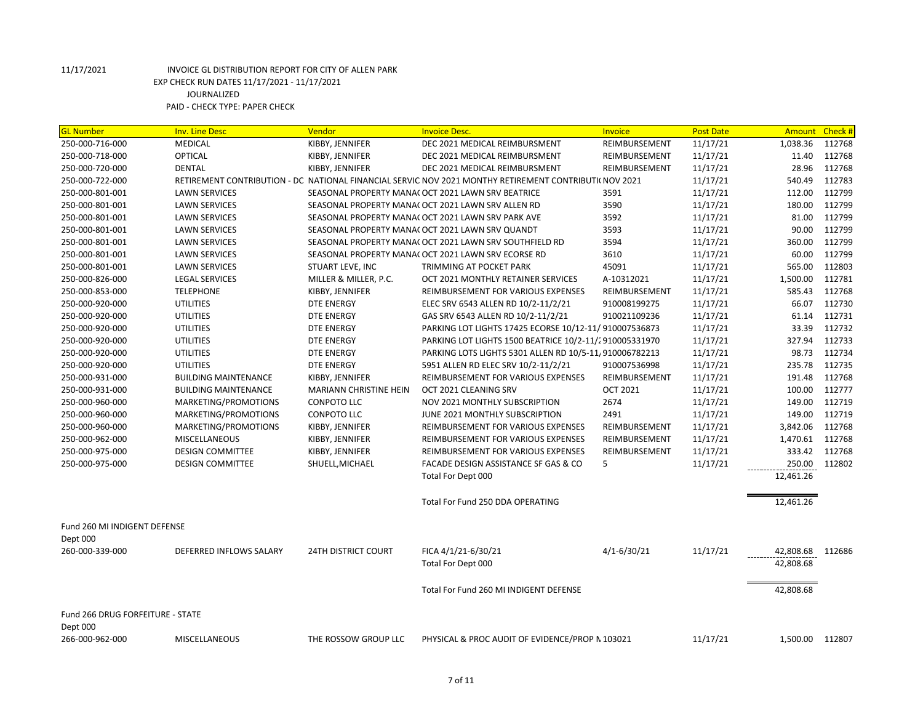| <b>GL Number</b>                             | <b>Inv. Line Desc</b>       | Vendor                     | <b>Invoice Desc.</b>                                                                                   | <b>Invoice</b>  | <b>Post Date</b> | Amount    | Check # |
|----------------------------------------------|-----------------------------|----------------------------|--------------------------------------------------------------------------------------------------------|-----------------|------------------|-----------|---------|
| 250-000-716-000                              | <b>MEDICAL</b>              | KIBBY, JENNIFER            | DEC 2021 MEDICAL REIMBURSMENT                                                                          | REIMBURSEMENT   | 11/17/21         | 1,038.36  | 112768  |
| 250-000-718-000                              | OPTICAL                     | KIBBY, JENNIFER            | DEC 2021 MEDICAL REIMBURSMENT                                                                          | REIMBURSEMENT   | 11/17/21         | 11.40     | 112768  |
| 250-000-720-000                              | <b>DENTAL</b>               | KIBBY, JENNIFER            | DEC 2021 MEDICAL REIMBURSMENT                                                                          | REIMBURSEMENT   | 11/17/21         | 28.96     | 112768  |
| 250-000-722-000                              |                             |                            | RETIREMENT CONTRIBUTION - DC NATIONAL FINANCIAL SERVIC NOV 2021 MONTHY RETIREMENT CONTRIBUTI( NOV 2021 |                 | 11/17/21         | 540.49    | 112783  |
| 250-000-801-001                              | <b>LAWN SERVICES</b>        |                            | SEASONAL PROPERTY MANA( OCT 2021 LAWN SRV BEATRICE                                                     | 3591            | 11/17/21         | 112.00    | 112799  |
| 250-000-801-001                              | <b>LAWN SERVICES</b>        |                            | SEASONAL PROPERTY MANA( OCT 2021 LAWN SRV ALLEN RD                                                     | 3590            | 11/17/21         | 180.00    | 112799  |
| 250-000-801-001                              | <b>LAWN SERVICES</b>        |                            | SEASONAL PROPERTY MANA( OCT 2021 LAWN SRV PARK AVE                                                     | 3592            | 11/17/21         | 81.00     | 112799  |
| 250-000-801-001                              | <b>LAWN SERVICES</b>        |                            | SEASONAL PROPERTY MANA( OCT 2021 LAWN SRV QUANDT                                                       | 3593            | 11/17/21         | 90.00     | 112799  |
| 250-000-801-001                              | <b>LAWN SERVICES</b>        |                            | SEASONAL PROPERTY MANA( OCT 2021 LAWN SRV SOUTHFIELD RD                                                | 3594            | 11/17/21         | 360.00    | 112799  |
| 250-000-801-001                              | <b>LAWN SERVICES</b>        |                            | SEASONAL PROPERTY MANA( OCT 2021 LAWN SRV ECORSE RD                                                    | 3610            | 11/17/21         | 60.00     | 112799  |
| 250-000-801-001                              | <b>LAWN SERVICES</b>        | STUART LEVE, INC           | TRIMMING AT POCKET PARK                                                                                | 45091           | 11/17/21         | 565.00    | 112803  |
| 250-000-826-000                              | <b>LEGAL SERVICES</b>       | MILLER & MILLER, P.C.      | OCT 2021 MONTHLY RETAINER SERVICES                                                                     | A-10312021      | 11/17/21         | 1,500.00  | 112781  |
| 250-000-853-000                              | <b>TELEPHONE</b>            | KIBBY, JENNIFER            | REIMBURSEMENT FOR VARIOUS EXPENSES                                                                     | REIMBURSEMENT   | 11/17/21         | 585.43    | 112768  |
| 250-000-920-000                              | <b>UTILITIES</b>            | <b>DTE ENERGY</b>          | ELEC SRV 6543 ALLEN RD 10/2-11/2/21                                                                    | 910008199275    | 11/17/21         | 66.07     | 112730  |
| 250-000-920-000                              | <b>UTILITIES</b>            | <b>DTE ENERGY</b>          | GAS SRV 6543 ALLEN RD 10/2-11/2/21                                                                     | 910021109236    | 11/17/21         | 61.14     | 112731  |
| 250-000-920-000                              | <b>UTILITIES</b>            | <b>DTE ENERGY</b>          | PARKING LOT LIGHTS 17425 ECORSE 10/12-11/ 910007536873                                                 |                 | 11/17/21         | 33.39     | 112732  |
| 250-000-920-000                              | <b>UTILITIES</b>            | <b>DTE ENERGY</b>          | PARKING LOT LIGHTS 1500 BEATRICE 10/2-11/2910005331970                                                 |                 | 11/17/21         | 327.94    | 112733  |
| 250-000-920-000                              | <b>UTILITIES</b>            | <b>DTE ENERGY</b>          | PARKING LOTS LIGHTS 5301 ALLEN RD 10/5-11/910006782213                                                 |                 | 11/17/21         | 98.73     | 112734  |
| 250-000-920-000                              | <b>UTILITIES</b>            | <b>DTE ENERGY</b>          | 5951 ALLEN RD ELEC SRV 10/2-11/2/21                                                                    | 910007536998    | 11/17/21         | 235.78    | 112735  |
| 250-000-931-000                              | <b>BUILDING MAINTENANCE</b> | KIBBY, JENNIFER            | REIMBURSEMENT FOR VARIOUS EXPENSES                                                                     | REIMBURSEMENT   | 11/17/21         | 191.48    | 112768  |
| 250-000-931-000                              | <b>BUILDING MAINTENANCE</b> | MARIANN CHRISTINE HEIN     | OCT 2021 CLEANING SRV                                                                                  | <b>OCT 2021</b> | 11/17/21         | 100.00    | 112777  |
| 250-000-960-000                              | MARKETING/PROMOTIONS        | <b>CONPOTO LLC</b>         | NOV 2021 MONTHLY SUBSCRIPTION                                                                          | 2674            | 11/17/21         | 149.00    | 112719  |
| 250-000-960-000                              | MARKETING/PROMOTIONS        | <b>CONPOTO LLC</b>         | JUNE 2021 MONTHLY SUBSCRIPTION                                                                         | 2491            | 11/17/21         | 149.00    | 112719  |
| 250-000-960-000                              | MARKETING/PROMOTIONS        | KIBBY, JENNIFER            | REIMBURSEMENT FOR VARIOUS EXPENSES                                                                     | REIMBURSEMENT   | 11/17/21         | 3,842.06  | 112768  |
| 250-000-962-000                              | <b>MISCELLANEOUS</b>        | KIBBY, JENNIFER            | REIMBURSEMENT FOR VARIOUS EXPENSES                                                                     | REIMBURSEMENT   | 11/17/21         | 1,470.61  | 112768  |
| 250-000-975-000                              | <b>DESIGN COMMITTEE</b>     | KIBBY, JENNIFER            | REIMBURSEMENT FOR VARIOUS EXPENSES                                                                     | REIMBURSEMENT   | 11/17/21         | 333.42    | 112768  |
| 250-000-975-000                              | <b>DESIGN COMMITTEE</b>     | SHUELL, MICHAEL            | FACADE DESIGN ASSISTANCE SF GAS & CO                                                                   | 5               | 11/17/21         | 250.00    | 112802  |
|                                              |                             |                            | Total For Dept 000                                                                                     |                 |                  | 12,461.26 |         |
|                                              |                             |                            | Total For Fund 250 DDA OPERATING                                                                       |                 |                  | 12,461.26 |         |
| Fund 260 MI INDIGENT DEFENSE                 |                             |                            |                                                                                                        |                 |                  |           |         |
| Dept 000                                     |                             |                            |                                                                                                        |                 |                  |           |         |
| 260-000-339-000                              | DEFERRED INFLOWS SALARY     | <b>24TH DISTRICT COURT</b> | FICA 4/1/21-6/30/21                                                                                    | $4/1 - 6/30/21$ | 11/17/21         | 42,808.68 | 112686  |
|                                              |                             |                            | Total For Dept 000                                                                                     |                 |                  | 42,808.68 |         |
|                                              |                             |                            | Total For Fund 260 MI INDIGENT DEFENSE                                                                 |                 |                  | 42,808.68 |         |
| Fund 266 DRUG FORFEITURE - STATE<br>Dept 000 |                             |                            |                                                                                                        |                 |                  |           |         |
| 266-000-962-000                              | <b>MISCELLANEOUS</b>        | THE ROSSOW GROUP LLC       | PHYSICAL & PROC AUDIT OF EVIDENCE/PROP N 103021                                                        |                 | 11/17/21         | 1,500.00  | 112807  |
|                                              |                             |                            |                                                                                                        |                 |                  |           |         |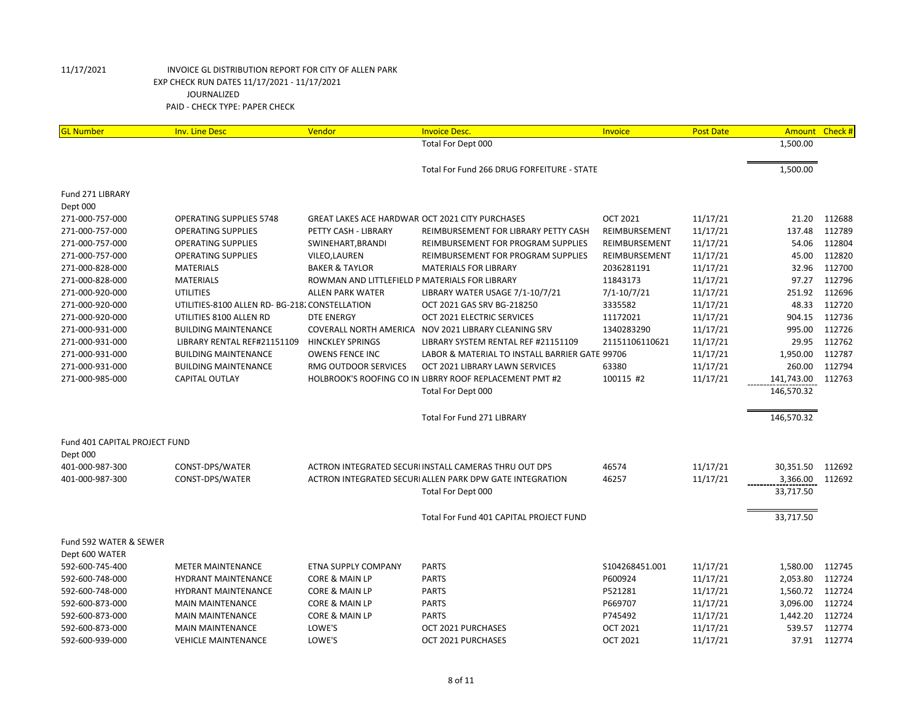| <b>GL Number</b>              | <b>Inv. Line Desc</b>                          | Vendor                                          | <b>Invoice Desc.</b>                                     | Invoice         | <b>Post Date</b> | Amount     | Check# |
|-------------------------------|------------------------------------------------|-------------------------------------------------|----------------------------------------------------------|-----------------|------------------|------------|--------|
|                               |                                                |                                                 | Total For Dept 000                                       |                 |                  | 1,500.00   |        |
|                               |                                                |                                                 |                                                          |                 |                  |            |        |
|                               |                                                |                                                 | Total For Fund 266 DRUG FORFEITURE - STATE               |                 |                  | 1,500.00   |        |
| Fund 271 LIBRARY              |                                                |                                                 |                                                          |                 |                  |            |        |
| Dept 000                      |                                                |                                                 |                                                          |                 |                  |            |        |
| 271-000-757-000               | <b>OPERATING SUPPLIES 5748</b>                 | GREAT LAKES ACE HARDWAR OCT 2021 CITY PURCHASES |                                                          | <b>OCT 2021</b> | 11/17/21         | 21.20      | 112688 |
| 271-000-757-000               | <b>OPERATING SUPPLIES</b>                      | PETTY CASH - LIBRARY                            | REIMBURSEMENT FOR LIBRARY PETTY CASH                     | REIMBURSEMENT   | 11/17/21         | 137.48     | 112789 |
| 271-000-757-000               | <b>OPERATING SUPPLIES</b>                      | SWINEHART, BRANDI                               | REIMBURSEMENT FOR PROGRAM SUPPLIES                       | REIMBURSEMENT   | 11/17/21         | 54.06      | 112804 |
| 271-000-757-000               | <b>OPERATING SUPPLIES</b>                      | VILEO, LAUREN                                   | REIMBURSEMENT FOR PROGRAM SUPPLIES                       | REIMBURSEMENT   | 11/17/21         | 45.00      | 112820 |
| 271-000-828-000               | <b>MATERIALS</b>                               | <b>BAKER &amp; TAYLOR</b>                       | <b>MATERIALS FOR LIBRARY</b>                             | 2036281191      | 11/17/21         | 32.96      | 112700 |
| 271-000-828-000               | <b>MATERIALS</b>                               | ROWMAN AND LITTLEFIELD P MATERIALS FOR LIBRARY  |                                                          | 11843173        | 11/17/21         | 97.27      | 112796 |
| 271-000-920-000               | <b>UTILITIES</b>                               | <b>ALLEN PARK WATER</b>                         | LIBRARY WATER USAGE 7/1-10/7/21                          | $7/1 - 10/7/21$ | 11/17/21         | 251.92     | 112696 |
| 271-000-920-000               | UTILITIES-8100 ALLEN RD- BG-218. CONSTELLATION |                                                 | OCT 2021 GAS SRV BG-218250                               | 3335582         | 11/17/21         | 48.33      | 112720 |
| 271-000-920-000               | UTILITIES 8100 ALLEN RD                        | <b>DTE ENERGY</b>                               | OCT 2021 ELECTRIC SERVICES                               | 11172021        | 11/17/21         | 904.15     | 112736 |
| 271-000-931-000               | <b>BUILDING MAINTENANCE</b>                    | <b>COVERALL NORTH AMERICA</b>                   | NOV 2021 LIBRARY CLEANING SRV                            | 1340283290      | 11/17/21         | 995.00     | 112726 |
| 271-000-931-000               | LIBRARY RENTAL REF#21151109                    | <b>HINCKLEY SPRINGS</b>                         | LIBRARY SYSTEM RENTAL REF #21151109                      | 21151106110621  | 11/17/21         | 29.95      | 112762 |
| 271-000-931-000               | <b>BUILDING MAINTENANCE</b>                    | <b>OWENS FENCE INC</b>                          | LABOR & MATERIAL TO INSTALL BARRIER GATE 99706           |                 | 11/17/21         | 1,950.00   | 112787 |
| 271-000-931-000               | <b>BUILDING MAINTENANCE</b>                    | RMG OUTDOOR SERVICES                            | OCT 2021 LIBRARY LAWN SERVICES                           | 63380           | 11/17/21         | 260.00     | 112794 |
| 271-000-985-000               | <b>CAPITAL OUTLAY</b>                          |                                                 | HOLBROOK'S ROOFING CO IN LIBRRY ROOF REPLACEMENT PMT #2  | 100115 #2       | 11/17/21         | 141,743.00 | 112763 |
|                               |                                                |                                                 | Total For Dept 000                                       |                 |                  | 146,570.32 |        |
|                               |                                                |                                                 |                                                          |                 |                  |            |        |
|                               |                                                |                                                 | <b>Total For Fund 271 LIBRARY</b>                        |                 |                  | 146,570.32 |        |
|                               |                                                |                                                 |                                                          |                 |                  |            |        |
| Fund 401 CAPITAL PROJECT FUND |                                                |                                                 |                                                          |                 |                  |            |        |
| Dept 000                      |                                                |                                                 |                                                          |                 |                  |            |        |
| 401-000-987-300               | CONST-DPS/WATER                                |                                                 | ACTRON INTEGRATED SECURI INSTALL CAMERAS THRU OUT DPS    | 46574           | 11/17/21         | 30,351.50  | 112692 |
| 401-000-987-300               | CONST-DPS/WATER                                |                                                 | ACTRON INTEGRATED SECURI ALLEN PARK DPW GATE INTEGRATION | 46257           | 11/17/21         | 3,366.00   | 112692 |
|                               |                                                |                                                 | Total For Dept 000                                       |                 |                  | 33,717.50  |        |
|                               |                                                |                                                 | Total For Fund 401 CAPITAL PROJECT FUND                  |                 |                  | 33,717.50  |        |
| Fund 592 WATER & SEWER        |                                                |                                                 |                                                          |                 |                  |            |        |
| Dept 600 WATER                |                                                |                                                 |                                                          |                 |                  |            |        |
| 592-600-745-400               | <b>METER MAINTENANCE</b>                       | ETNA SUPPLY COMPANY                             | <b>PARTS</b>                                             | \$104268451.001 | 11/17/21         | 1,580.00   | 112745 |
| 592-600-748-000               | <b>HYDRANT MAINTENANCE</b>                     | <b>CORE &amp; MAIN LP</b>                       | <b>PARTS</b>                                             | P600924         | 11/17/21         | 2,053.80   | 112724 |
| 592-600-748-000               | <b>HYDRANT MAINTENANCE</b>                     | CORE & MAIN LP                                  | <b>PARTS</b>                                             | P521281         | 11/17/21         | 1,560.72   | 112724 |
| 592-600-873-000               | <b>MAIN MAINTENANCE</b>                        | <b>CORE &amp; MAIN LP</b>                       | <b>PARTS</b>                                             | P669707         | 11/17/21         | 3,096.00   | 112724 |
| 592-600-873-000               | <b>MAIN MAINTENANCE</b>                        | CORE & MAIN LP                                  | <b>PARTS</b>                                             | P745492         | 11/17/21         | 1,442.20   | 112724 |
| 592-600-873-000               | <b>MAIN MAINTENANCE</b>                        | LOWE'S                                          | OCT 2021 PURCHASES                                       | <b>OCT 2021</b> | 11/17/21         | 539.57     | 112774 |
| 592-600-939-000               | <b>VEHICLE MAINTENANCE</b>                     | LOWE'S                                          | OCT 2021 PURCHASES                                       | <b>OCT 2021</b> | 11/17/21         | 37.91      | 112774 |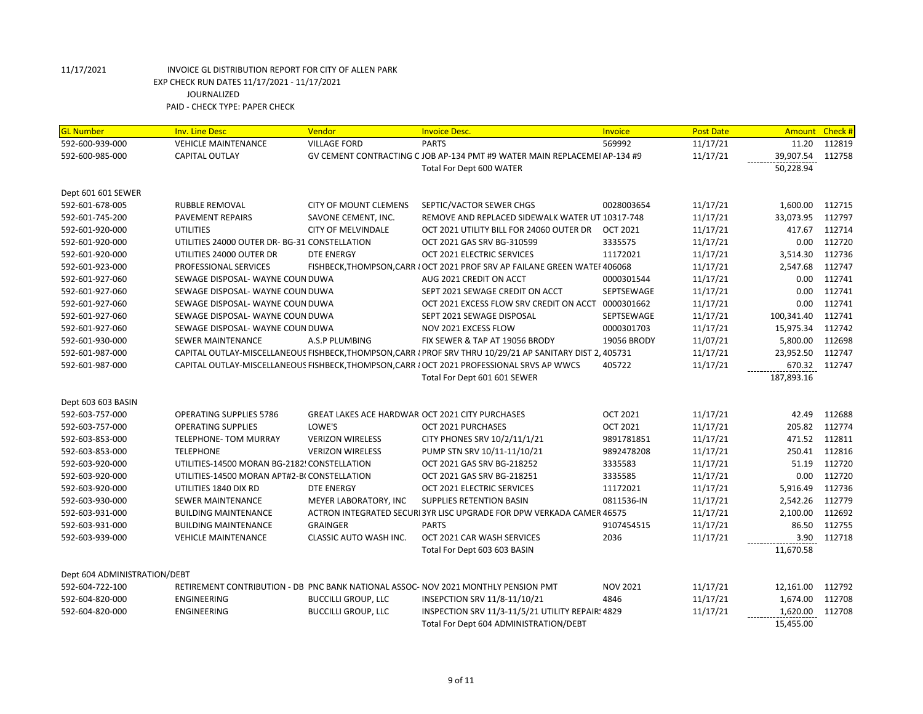| <b>GL Number</b>             | <b>Inv. Line Desc</b>                        | Vendor                                          | <b>Invoice Desc.</b>                                                                                      | Invoice         | <b>Post Date</b> | Amount Check # |        |
|------------------------------|----------------------------------------------|-------------------------------------------------|-----------------------------------------------------------------------------------------------------------|-----------------|------------------|----------------|--------|
| 592-600-939-000              | <b>VEHICLE MAINTENANCE</b>                   | <b>VILLAGE FORD</b>                             | <b>PARTS</b>                                                                                              | 569992          | 11/17/21         | 11.20          | 112819 |
| 592-600-985-000              | <b>CAPITAL OUTLAY</b>                        |                                                 | GV CEMENT CONTRACTING C JOB AP-134 PMT #9 WATER MAIN REPLACEMEI AP-134 #9                                 |                 | 11/17/21         | 39,907.54      | 112758 |
|                              |                                              |                                                 | Total For Dept 600 WATER                                                                                  |                 |                  | 50,228.94      |        |
|                              |                                              |                                                 |                                                                                                           |                 |                  |                |        |
| Dept 601 601 SEWER           |                                              |                                                 |                                                                                                           |                 |                  |                |        |
| 592-601-678-005              | RUBBLE REMOVAL                               | <b>CITY OF MOUNT CLEMENS</b>                    | SEPTIC/VACTOR SEWER CHGS                                                                                  | 0028003654      | 11/17/21         | 1,600.00       | 112715 |
| 592-601-745-200              | PAVEMENT REPAIRS                             | SAVONE CEMENT, INC.                             | REMOVE AND REPLACED SIDEWALK WATER UT 10317-748                                                           |                 | 11/17/21         | 33,073.95      | 112797 |
| 592-601-920-000              | <b>UTILITIES</b>                             | <b>CITY OF MELVINDALE</b>                       | OCT 2021 UTILITY BILL FOR 24060 OUTER DR                                                                  | <b>OCT 2021</b> | 11/17/21         | 417.67         | 112714 |
| 592-601-920-000              | UTILITIES 24000 OUTER DR-BG-31 CONSTELLATION |                                                 | OCT 2021 GAS SRV BG-310599                                                                                | 3335575         | 11/17/21         | 0.00           | 112720 |
| 592-601-920-000              | UTILITIES 24000 OUTER DR                     | <b>DTE ENERGY</b>                               | OCT 2021 ELECTRIC SERVICES                                                                                | 11172021        | 11/17/21         | 3,514.30       | 112736 |
| 592-601-923-000              | PROFESSIONAL SERVICES                        |                                                 | FISHBECK, THOMPSON, CARR I OCT 2021 PROF SRV AP FAILANE GREEN WATEF 406068                                |                 | 11/17/21         | 2,547.68       | 112747 |
| 592-601-927-060              | SEWAGE DISPOSAL- WAYNE COUN DUWA             |                                                 | AUG 2021 CREDIT ON ACCT                                                                                   | 0000301544      | 11/17/21         | 0.00           | 112741 |
| 592-601-927-060              | SEWAGE DISPOSAL- WAYNE COUN DUWA             |                                                 | SEPT 2021 SEWAGE CREDIT ON ACCT                                                                           | SEPTSEWAGE      | 11/17/21         | 0.00           | 112741 |
| 592-601-927-060              | SEWAGE DISPOSAL- WAYNE COUN DUWA             |                                                 | OCT 2021 EXCESS FLOW SRV CREDIT ON ACCT                                                                   | 0000301662      | 11/17/21         | 0.00           | 112741 |
| 592-601-927-060              | SEWAGE DISPOSAL- WAYNE COUN DUWA             |                                                 | SEPT 2021 SEWAGE DISPOSAL                                                                                 | SEPTSEWAGE      | 11/17/21         | 100,341.40     | 112741 |
| 592-601-927-060              | SEWAGE DISPOSAL- WAYNE COUN DUWA             |                                                 | NOV 2021 EXCESS FLOW                                                                                      | 0000301703      | 11/17/21         | 15,975.34      | 112742 |
| 592-601-930-000              | SEWER MAINTENANCE                            | A.S.P PLUMBING                                  | FIX SEWER & TAP AT 19056 BRODY                                                                            | 19056 BRODY     | 11/07/21         | 5,800.00       | 112698 |
| 592-601-987-000              |                                              |                                                 | CAPITAL OUTLAY-MISCELLANEOUS FISHBECK, THOMPSON, CARR { PROF SRV THRU 10/29/21 AP SANITARY DIST 2, 405731 |                 | 11/17/21         | 23,952.50      | 112747 |
| 592-601-987-000              |                                              |                                                 | CAPITAL OUTLAY-MISCELLANEOUS FISHBECK, THOMPSON, CARR I OCT 2021 PROFESSIONAL SRVS AP WWCS                | 405722          | 11/17/21         | 670.32         | 112747 |
|                              |                                              |                                                 | Total For Dept 601 601 SEWER                                                                              |                 |                  | 187,893.16     |        |
|                              |                                              |                                                 |                                                                                                           |                 |                  |                |        |
| Dept 603 603 BASIN           |                                              |                                                 |                                                                                                           |                 |                  |                |        |
| 592-603-757-000              | <b>OPERATING SUPPLIES 5786</b>               | GREAT LAKES ACE HARDWAR OCT 2021 CITY PURCHASES |                                                                                                           | <b>OCT 2021</b> | 11/17/21         | 42.49          | 112688 |
| 592-603-757-000              | <b>OPERATING SUPPLIES</b>                    | LOWE'S                                          | OCT 2021 PURCHASES                                                                                        | <b>OCT 2021</b> | 11/17/21         | 205.82         | 112774 |
| 592-603-853-000              | TELEPHONE- TOM MURRAY                        | <b>VERIZON WIRELESS</b>                         | CITY PHONES SRV 10/2/11/1/21                                                                              | 9891781851      | 11/17/21         | 471.52         | 112811 |
| 592-603-853-000              | <b>TELEPHONE</b>                             | <b>VERIZON WIRELESS</b>                         | PUMP STN SRV 10/11-11/10/21                                                                               | 9892478208      | 11/17/21         | 250.41         | 112816 |
| 592-603-920-000              | UTILITIES-14500 MORAN BG-2182! CONSTELLATION |                                                 | OCT 2021 GAS SRV BG-218252                                                                                | 3335583         | 11/17/21         | 51.19          | 112720 |
| 592-603-920-000              | UTILITIES-14500 MORAN APT#2-B(CONSTELLATION  |                                                 | OCT 2021 GAS SRV BG-218251                                                                                | 3335585         | 11/17/21         | 0.00           | 112720 |
| 592-603-920-000              | UTILITIES 1840 DIX RD                        | <b>DTE ENERGY</b>                               | OCT 2021 ELECTRIC SERVICES                                                                                | 11172021        | 11/17/21         | 5,916.49       | 112736 |
| 592-603-930-000              | <b>SEWER MAINTENANCE</b>                     | MEYER LABORATORY, INC                           | <b>SUPPLIES RETENTION BASIN</b>                                                                           | 0811536-IN      | 11/17/21         | 2,542.26       | 112779 |
| 592-603-931-000              | <b>BUILDING MAINTENANCE</b>                  |                                                 | ACTRON INTEGRATED SECURI 3YR LISC UPGRADE FOR DPW VERKADA CAMER 46575                                     |                 | 11/17/21         | 2,100.00       | 112692 |
| 592-603-931-000              | <b>BUILDING MAINTENANCE</b>                  | <b>GRAINGER</b>                                 | <b>PARTS</b>                                                                                              | 9107454515      | 11/17/21         | 86.50          | 112755 |
| 592-603-939-000              | <b>VEHICLE MAINTENANCE</b>                   | CLASSIC AUTO WASH INC.                          | OCT 2021 CAR WASH SERVICES                                                                                | 2036            | 11/17/21         | 3.90           | 112718 |
|                              |                                              |                                                 | Total For Dept 603 603 BASIN                                                                              |                 |                  | 11,670.58      |        |
|                              |                                              |                                                 |                                                                                                           |                 |                  |                |        |
| Dept 604 ADMINISTRATION/DEBT |                                              |                                                 |                                                                                                           |                 |                  |                |        |
| 592-604-722-100              |                                              |                                                 | RETIREMENT CONTRIBUTION - DB PNC BANK NATIONAL ASSOC-NOV 2021 MONTHLY PENSION PMT                         | <b>NOV 2021</b> | 11/17/21         | 12,161.00      | 112792 |
| 592-604-820-000              | <b>ENGINEERING</b>                           | <b>BUCCILLI GROUP, LLC</b>                      | INSEPCTION SRV 11/8-11/10/21                                                                              | 4846            | 11/17/21         | 1,674.00       | 112708 |
| 592-604-820-000              | <b>ENGINEERING</b>                           | <b>BUCCILLI GROUP, LLC</b>                      | INSPECTION SRV 11/3-11/5/21 UTILITY REPAIR! 4829                                                          |                 | 11/17/21         | 1,620.00       | 112708 |
|                              |                                              |                                                 | Total For Dept 604 ADMINISTRATION/DEBT                                                                    |                 |                  | 15,455.00      |        |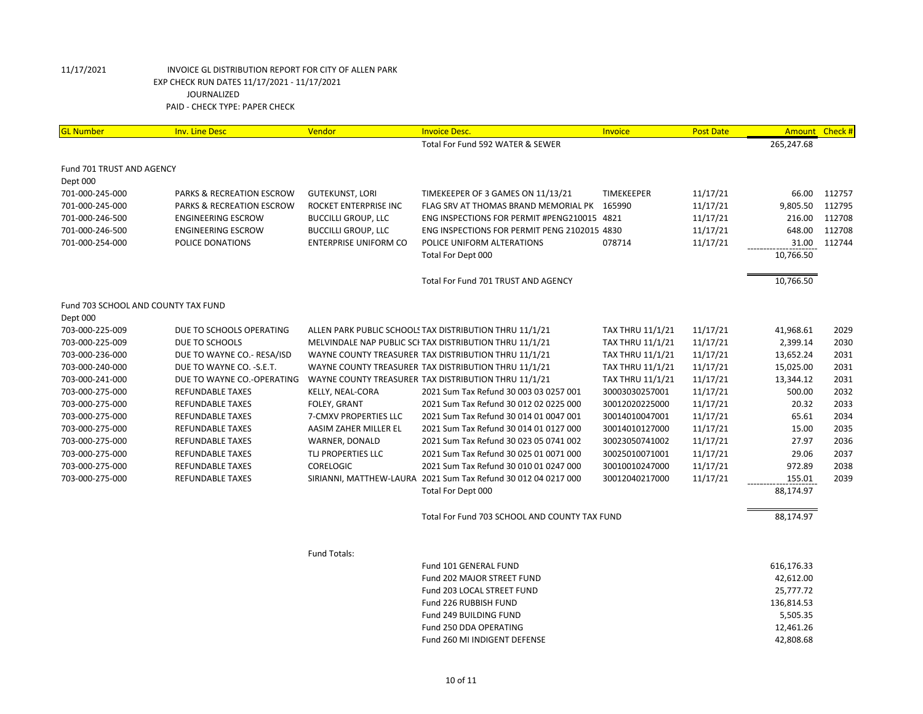| <b>GL Number</b>                    | <b>Inv. Line Desc</b>      | Vendor                       | <b>Invoice Desc.</b>                                           | Invoice                 | <b>Post Date</b> | <b>Amount</b> | Check # |
|-------------------------------------|----------------------------|------------------------------|----------------------------------------------------------------|-------------------------|------------------|---------------|---------|
|                                     |                            |                              | Total For Fund 592 WATER & SEWER                               |                         |                  | 265,247.68    |         |
| Fund 701 TRUST AND AGENCY           |                            |                              |                                                                |                         |                  |               |         |
| Dept 000                            |                            |                              |                                                                |                         |                  |               |         |
| 701-000-245-000                     | PARKS & RECREATION ESCROW  | <b>GUTEKUNST, LORI</b>       | TIMEKEEPER OF 3 GAMES ON 11/13/21                              | <b>TIMEKEEPER</b>       | 11/17/21         | 66.00         | 112757  |
| 701-000-245-000                     | PARKS & RECREATION ESCROW  | ROCKET ENTERPRISE INC        | FLAG SRV AT THOMAS BRAND MEMORIAL PK 165990                    |                         | 11/17/21         | 9,805.50      | 112795  |
| 701-000-246-500                     | <b>ENGINEERING ESCROW</b>  | <b>BUCCILLI GROUP, LLC</b>   | ENG INSPECTIONS FOR PERMIT #PENG210015 4821                    |                         | 11/17/21         | 216.00        | 112708  |
| 701-000-246-500                     | <b>ENGINEERING ESCROW</b>  | <b>BUCCILLI GROUP, LLC</b>   | ENG INSPECTIONS FOR PERMIT PENG 2102015 4830                   |                         | 11/17/21         | 648.00        | 112708  |
| 701-000-254-000                     | POLICE DONATIONS           | <b>ENTERPRISE UNIFORM CO</b> | POLICE UNIFORM ALTERATIONS                                     | 078714                  | 11/17/21         | 31.00         | 112744  |
|                                     |                            |                              | Total For Dept 000                                             |                         |                  | 10,766.50     |         |
|                                     |                            |                              | Total For Fund 701 TRUST AND AGENCY                            |                         |                  | 10,766.50     |         |
|                                     |                            |                              |                                                                |                         |                  |               |         |
| Fund 703 SCHOOL AND COUNTY TAX FUND |                            |                              |                                                                |                         |                  |               |         |
| Dept 000                            |                            |                              |                                                                |                         |                  |               |         |
| 703-000-225-009                     | DUE TO SCHOOLS OPERATING   |                              | ALLEN PARK PUBLIC SCHOOLS TAX DISTRIBUTION THRU 11/1/21        | <b>TAX THRU 11/1/21</b> | 11/17/21         | 41,968.61     | 2029    |
| 703-000-225-009                     | DUE TO SCHOOLS             |                              | MELVINDALE NAP PUBLIC SCI TAX DISTRIBUTION THRU 11/1/21        | TAX THRU 11/1/21        | 11/17/21         | 2,399.14      | 2030    |
| 703-000-236-000                     | DUE TO WAYNE CO.- RESA/ISD |                              | WAYNE COUNTY TREASURER TAX DISTRIBUTION THRU 11/1/21           | TAX THRU 11/1/21        | 11/17/21         | 13,652.24     | 2031    |
| 703-000-240-000                     | DUE TO WAYNE CO. - S.E.T.  |                              | WAYNE COUNTY TREASURER TAX DISTRIBUTION THRU 11/1/21           | TAX THRU 11/1/21        | 11/17/21         | 15,025.00     | 2031    |
| 703-000-241-000                     | DUE TO WAYNE CO.-OPERATING |                              | WAYNE COUNTY TREASURER TAX DISTRIBUTION THRU 11/1/21           | TAX THRU 11/1/21        | 11/17/21         | 13,344.12     | 2031    |
| 703-000-275-000                     | <b>REFUNDABLE TAXES</b>    | KELLY, NEAL-CORA             | 2021 Sum Tax Refund 30 003 03 0257 001                         | 30003030257001          | 11/17/21         | 500.00        | 2032    |
| 703-000-275-000                     | <b>REFUNDABLE TAXES</b>    | FOLEY, GRANT                 | 2021 Sum Tax Refund 30 012 02 0225 000                         | 30012020225000          | 11/17/21         | 20.32         | 2033    |
| 703-000-275-000                     | REFUNDABLE TAXES           | 7-CMXV PROPERTIES LLC        | 2021 Sum Tax Refund 30 014 01 0047 001                         | 30014010047001          | 11/17/21         | 65.61         | 2034    |
| 703-000-275-000                     | <b>REFUNDABLE TAXES</b>    | AASIM ZAHER MILLER EL        | 2021 Sum Tax Refund 30 014 01 0127 000                         | 30014010127000          | 11/17/21         | 15.00         | 2035    |
| 703-000-275-000                     | <b>REFUNDABLE TAXES</b>    | WARNER, DONALD               | 2021 Sum Tax Refund 30 023 05 0741 002                         | 30023050741002          | 11/17/21         | 27.97         | 2036    |
| 703-000-275-000                     | <b>REFUNDABLE TAXES</b>    | TLJ PROPERTIES LLC           | 2021 Sum Tax Refund 30 025 01 0071 000                         | 30025010071001          | 11/17/21         | 29.06         | 2037    |
| 703-000-275-000                     | <b>REFUNDABLE TAXES</b>    | <b>CORELOGIC</b>             | 2021 Sum Tax Refund 30 010 01 0247 000                         | 30010010247000          | 11/17/21         | 972.89        | 2038    |
| 703-000-275-000                     | <b>REFUNDABLE TAXES</b>    |                              | SIRIANNI, MATTHEW-LAURA 2021 Sum Tax Refund 30 012 04 0217 000 | 30012040217000          | 11/17/21         | 155.01        | 2039    |
|                                     |                            |                              | Total For Dept 000                                             |                         |                  | 88,174.97     |         |
|                                     |                            |                              | Total For Fund 703 SCHOOL AND COUNTY TAX FUND                  |                         |                  | 88,174.97     |         |
|                                     |                            |                              |                                                                |                         |                  |               |         |
|                                     |                            | Fund Totals:                 |                                                                |                         |                  |               |         |
|                                     |                            |                              | Fund 101 GENERAL FUND                                          |                         |                  | 616,176.33    |         |
|                                     |                            |                              | Fund 202 MAJOR STREET FUND                                     |                         |                  | 42,612.00     |         |
|                                     |                            |                              | Fund 203 LOCAL STREET FUND                                     |                         |                  | 25,777.72     |         |
|                                     |                            |                              | Fund 226 RUBBISH FUND                                          |                         |                  | 136,814.53    |         |
|                                     |                            |                              | Fund 249 BUILDING FUND                                         |                         |                  | 5,505.35      |         |

Fund 260 MI INDIGENT DEFENSE

Fund 250 DDA OPERATING 12,461.26<br>
Fund 260 MI INDIGENT DEFENSE 12,461.26